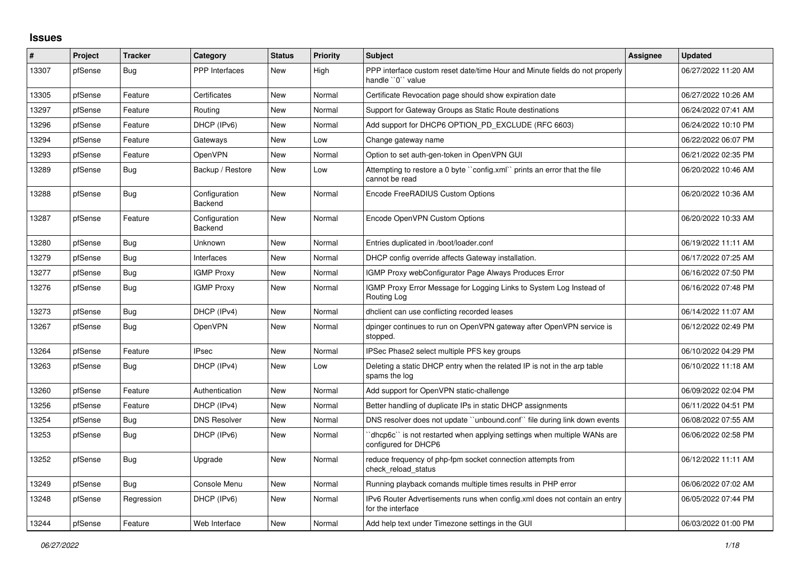## **Issues**

| #     | Project | <b>Tracker</b> | Category                 | <b>Status</b> | <b>Priority</b> | <b>Subject</b>                                                                                   | <b>Assignee</b> | <b>Updated</b>      |
|-------|---------|----------------|--------------------------|---------------|-----------------|--------------------------------------------------------------------------------------------------|-----------------|---------------------|
| 13307 | pfSense | <b>Bug</b>     | <b>PPP</b> Interfaces    | New           | High            | PPP interface custom reset date/time Hour and Minute fields do not properly<br>handle "0" value  |                 | 06/27/2022 11:20 AM |
| 13305 | pfSense | Feature        | Certificates             | <b>New</b>    | Normal          | Certificate Revocation page should show expiration date                                          |                 | 06/27/2022 10:26 AM |
| 13297 | pfSense | Feature        | Routing                  | <b>New</b>    | Normal          | Support for Gateway Groups as Static Route destinations                                          |                 | 06/24/2022 07:41 AM |
| 13296 | pfSense | Feature        | DHCP (IPv6)              | <b>New</b>    | Normal          | Add support for DHCP6 OPTION PD EXCLUDE (RFC 6603)                                               |                 | 06/24/2022 10:10 PM |
| 13294 | pfSense | Feature        | Gateways                 | <b>New</b>    | Low             | Change gateway name                                                                              |                 | 06/22/2022 06:07 PM |
| 13293 | pfSense | Feature        | <b>OpenVPN</b>           | <b>New</b>    | Normal          | Option to set auth-gen-token in OpenVPN GUI                                                      |                 | 06/21/2022 02:35 PM |
| 13289 | pfSense | Bug            | Backup / Restore         | <b>New</b>    | Low             | Attempting to restore a 0 byte "config.xml" prints an error that the file<br>cannot be read      |                 | 06/20/2022 10:46 AM |
| 13288 | pfSense | Bug            | Configuration<br>Backend | New           | Normal          | Encode FreeRADIUS Custom Options                                                                 |                 | 06/20/2022 10:36 AM |
| 13287 | pfSense | Feature        | Configuration<br>Backend | <b>New</b>    | Normal          | Encode OpenVPN Custom Options                                                                    |                 | 06/20/2022 10:33 AM |
| 13280 | pfSense | Bug            | Unknown                  | New           | Normal          | Entries duplicated in /boot/loader.conf                                                          |                 | 06/19/2022 11:11 AM |
| 13279 | pfSense | <b>Bug</b>     | Interfaces               | New           | Normal          | DHCP config override affects Gateway installation.                                               |                 | 06/17/2022 07:25 AM |
| 13277 | pfSense | Bug            | <b>IGMP Proxy</b>        | <b>New</b>    | Normal          | IGMP Proxy webConfigurator Page Always Produces Error                                            |                 | 06/16/2022 07:50 PM |
| 13276 | pfSense | Bug            | <b>IGMP Proxy</b>        | New           | Normal          | IGMP Proxy Error Message for Logging Links to System Log Instead of<br>Routing Log               |                 | 06/16/2022 07:48 PM |
| 13273 | pfSense | Bug            | DHCP (IPv4)              | New           | Normal          | dholient can use conflicting recorded leases                                                     |                 | 06/14/2022 11:07 AM |
| 13267 | pfSense | Bug            | OpenVPN                  | New           | Normal          | dpinger continues to run on OpenVPN gateway after OpenVPN service is<br>stopped.                 |                 | 06/12/2022 02:49 PM |
| 13264 | pfSense | Feature        | <b>IPsec</b>             | <b>New</b>    | Normal          | IPSec Phase2 select multiple PFS key groups                                                      |                 | 06/10/2022 04:29 PM |
| 13263 | pfSense | <b>Bug</b>     | DHCP (IPv4)              | New           | Low             | Deleting a static DHCP entry when the related IP is not in the arp table<br>spams the log        |                 | 06/10/2022 11:18 AM |
| 13260 | pfSense | Feature        | Authentication           | New           | Normal          | Add support for OpenVPN static-challenge                                                         |                 | 06/09/2022 02:04 PM |
| 13256 | pfSense | Feature        | DHCP (IPv4)              | New           | Normal          | Better handling of duplicate IPs in static DHCP assignments                                      |                 | 06/11/2022 04:51 PM |
| 13254 | pfSense | Bug            | <b>DNS Resolver</b>      | <b>New</b>    | Normal          | DNS resolver does not update "unbound.conf" file during link down events                         |                 | 06/08/2022 07:55 AM |
| 13253 | pfSense | <b>Bug</b>     | DHCP (IPv6)              | New           | Normal          | 'dhcp6c'' is not restarted when applying settings when multiple WANs are<br>configured for DHCP6 |                 | 06/06/2022 02:58 PM |
| 13252 | pfSense | <b>Bug</b>     | Upgrade                  | <b>New</b>    | Normal          | reduce frequency of php-fpm socket connection attempts from<br>check_reload_status               |                 | 06/12/2022 11:11 AM |
| 13249 | pfSense | Bug            | Console Menu             | New           | Normal          | Running playback comands multiple times results in PHP error                                     |                 | 06/06/2022 07:02 AM |
| 13248 | pfSense | Regression     | DHCP (IPv6)              | <b>New</b>    | Normal          | IPv6 Router Advertisements runs when config.xml does not contain an entry<br>for the interface   |                 | 06/05/2022 07:44 PM |
| 13244 | pfSense | Feature        | Web Interface            | <b>New</b>    | Normal          | Add help text under Timezone settings in the GUI                                                 |                 | 06/03/2022 01:00 PM |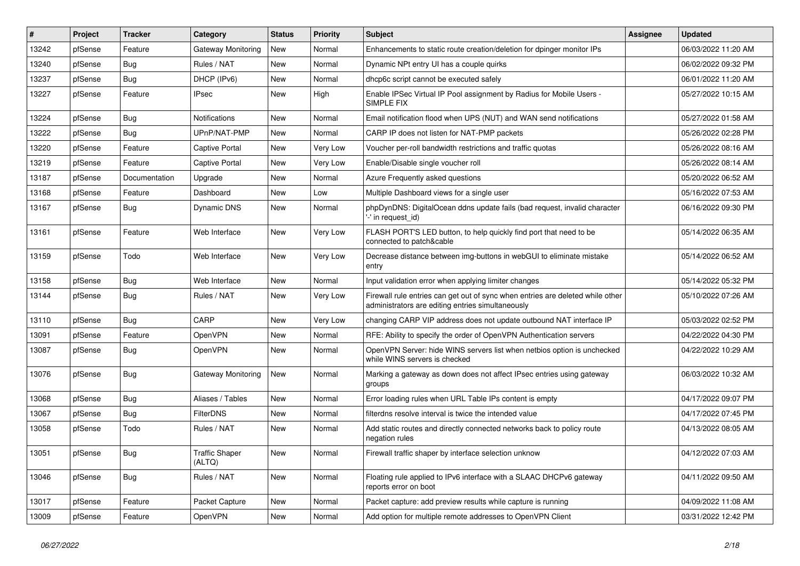| #     | Project | <b>Tracker</b> | Category                        | <b>Status</b> | <b>Priority</b> | <b>Subject</b>                                                                                                                      | Assignee | <b>Updated</b>      |
|-------|---------|----------------|---------------------------------|---------------|-----------------|-------------------------------------------------------------------------------------------------------------------------------------|----------|---------------------|
| 13242 | pfSense | Feature        | Gateway Monitoring              | New           | Normal          | Enhancements to static route creation/deletion for dpinger monitor IPs                                                              |          | 06/03/2022 11:20 AM |
| 13240 | pfSense | Bug            | Rules / NAT                     | <b>New</b>    | Normal          | Dynamic NPt entry UI has a couple quirks                                                                                            |          | 06/02/2022 09:32 PM |
| 13237 | pfSense | Bug            | DHCP (IPv6)                     | New           | Normal          | dhcp6c script cannot be executed safely                                                                                             |          | 06/01/2022 11:20 AM |
| 13227 | pfSense | Feature        | <b>IPsec</b>                    | New           | High            | Enable IPSec Virtual IP Pool assignment by Radius for Mobile Users -<br>SIMPLE FIX                                                  |          | 05/27/2022 10:15 AM |
| 13224 | pfSense | Bug            | Notifications                   | New           | Normal          | Email notification flood when UPS (NUT) and WAN send notifications                                                                  |          | 05/27/2022 01:58 AM |
| 13222 | pfSense | Bug            | UPnP/NAT-PMP                    | New           | Normal          | CARP IP does not listen for NAT-PMP packets                                                                                         |          | 05/26/2022 02:28 PM |
| 13220 | pfSense | Feature        | Captive Portal                  | <b>New</b>    | Very Low        | Voucher per-roll bandwidth restrictions and traffic quotas                                                                          |          | 05/26/2022 08:16 AM |
| 13219 | pfSense | Feature        | Captive Portal                  | New           | Very Low        | Enable/Disable single voucher roll                                                                                                  |          | 05/26/2022 08:14 AM |
| 13187 | pfSense | Documentation  | Upgrade                         | <b>New</b>    | Normal          | Azure Frequently asked questions                                                                                                    |          | 05/20/2022 06:52 AM |
| 13168 | pfSense | Feature        | Dashboard                       | New           | Low             | Multiple Dashboard views for a single user                                                                                          |          | 05/16/2022 07:53 AM |
| 13167 | pfSense | <b>Bug</b>     | Dynamic DNS                     | New           | Normal          | phpDynDNS: DigitalOcean ddns update fails (bad request, invalid character<br>'-' in request id)                                     |          | 06/16/2022 09:30 PM |
| 13161 | pfSense | Feature        | Web Interface                   | <b>New</b>    | Very Low        | FLASH PORT'S LED button, to help quickly find port that need to be<br>connected to patch&cable                                      |          | 05/14/2022 06:35 AM |
| 13159 | pfSense | Todo           | Web Interface                   | <b>New</b>    | Very Low        | Decrease distance between img-buttons in webGUI to eliminate mistake<br>entry                                                       |          | 05/14/2022 06:52 AM |
| 13158 | pfSense | Bug            | Web Interface                   | New           | Normal          | Input validation error when applying limiter changes                                                                                |          | 05/14/2022 05:32 PM |
| 13144 | pfSense | Bug            | Rules / NAT                     | New           | Very Low        | Firewall rule entries can get out of sync when entries are deleted while other<br>administrators are editing entries simultaneously |          | 05/10/2022 07:26 AM |
| 13110 | pfSense | Bug            | CARP                            | <b>New</b>    | <b>Very Low</b> | changing CARP VIP address does not update outbound NAT interface IP                                                                 |          | 05/03/2022 02:52 PM |
| 13091 | pfSense | Feature        | OpenVPN                         | New           | Normal          | RFE: Ability to specify the order of OpenVPN Authentication servers                                                                 |          | 04/22/2022 04:30 PM |
| 13087 | pfSense | <b>Bug</b>     | OpenVPN                         | New           | Normal          | OpenVPN Server: hide WINS servers list when netbios option is unchecked<br>while WINS servers is checked                            |          | 04/22/2022 10:29 AM |
| 13076 | pfSense | Bug            | Gateway Monitoring              | New           | Normal          | Marking a gateway as down does not affect IPsec entries using gateway<br>groups                                                     |          | 06/03/2022 10:32 AM |
| 13068 | pfSense | Bug            | Aliases / Tables                | <b>New</b>    | Normal          | Error loading rules when URL Table IPs content is empty                                                                             |          | 04/17/2022 09:07 PM |
| 13067 | pfSense | Bug            | <b>FilterDNS</b>                | New           | Normal          | filterdns resolve interval is twice the intended value                                                                              |          | 04/17/2022 07:45 PM |
| 13058 | pfSense | Todo           | Rules / NAT                     | New           | Normal          | Add static routes and directly connected networks back to policy route<br>negation rules                                            |          | 04/13/2022 08:05 AM |
| 13051 | pfSense | <b>Bug</b>     | <b>Traffic Shaper</b><br>(ALTQ) | New           | Normal          | Firewall traffic shaper by interface selection unknow                                                                               |          | 04/12/2022 07:03 AM |
| 13046 | pfSense | Bug            | Rules / NAT                     | New           | Normal          | Floating rule applied to IPv6 interface with a SLAAC DHCPv6 gateway<br>reports error on boot                                        |          | 04/11/2022 09:50 AM |
| 13017 | pfSense | Feature        | Packet Capture                  | New           | Normal          | Packet capture: add preview results while capture is running                                                                        |          | 04/09/2022 11:08 AM |
| 13009 | pfSense | Feature        | OpenVPN                         | New           | Normal          | Add option for multiple remote addresses to OpenVPN Client                                                                          |          | 03/31/2022 12:42 PM |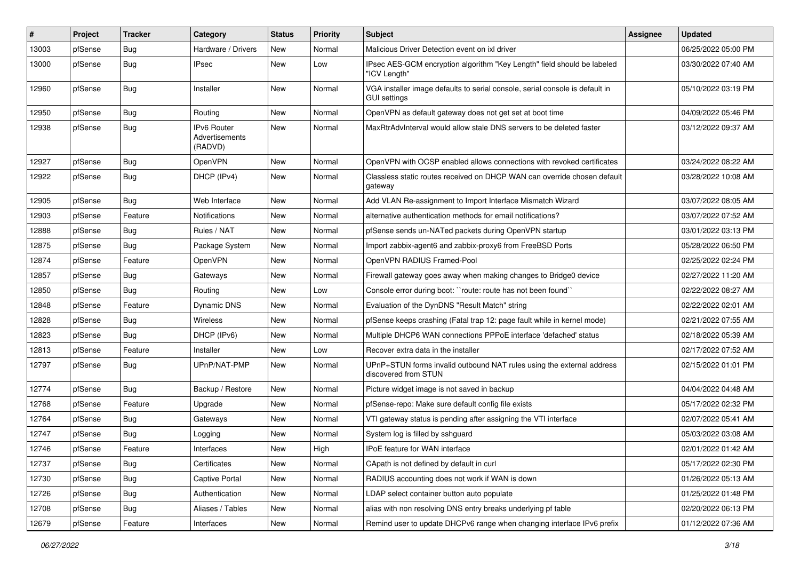| #     | Project | <b>Tracker</b> | Category                                 | <b>Status</b> | <b>Priority</b> | Subject                                                                                             | <b>Assignee</b> | <b>Updated</b>      |
|-------|---------|----------------|------------------------------------------|---------------|-----------------|-----------------------------------------------------------------------------------------------------|-----------------|---------------------|
| 13003 | pfSense | Bug            | Hardware / Drivers                       | New           | Normal          | Malicious Driver Detection event on ixl driver                                                      |                 | 06/25/2022 05:00 PM |
| 13000 | pfSense | Bug            | IPsec                                    | New           | Low             | IPsec AES-GCM encryption algorithm "Key Length" field should be labeled<br>"ICV Length"             |                 | 03/30/2022 07:40 AM |
| 12960 | pfSense | Bug            | Installer                                | New           | Normal          | VGA installer image defaults to serial console, serial console is default in<br><b>GUI settings</b> |                 | 05/10/2022 03:19 PM |
| 12950 | pfSense | Bug            | Routing                                  | New           | Normal          | OpenVPN as default gateway does not get set at boot time                                            |                 | 04/09/2022 05:46 PM |
| 12938 | pfSense | Bug            | IPv6 Router<br>Advertisements<br>(RADVD) | New           | Normal          | MaxRtrAdvInterval would allow stale DNS servers to be deleted faster                                |                 | 03/12/2022 09:37 AM |
| 12927 | pfSense | <b>Bug</b>     | <b>OpenVPN</b>                           | New           | Normal          | OpenVPN with OCSP enabled allows connections with revoked certificates                              |                 | 03/24/2022 08:22 AM |
| 12922 | pfSense | Bug            | DHCP (IPv4)                              | New           | Normal          | Classless static routes received on DHCP WAN can override chosen default<br>gateway                 |                 | 03/28/2022 10:08 AM |
| 12905 | pfSense | Bug            | Web Interface                            | <b>New</b>    | Normal          | Add VLAN Re-assignment to Import Interface Mismatch Wizard                                          |                 | 03/07/2022 08:05 AM |
| 12903 | pfSense | Feature        | Notifications                            | New           | Normal          | alternative authentication methods for email notifications?                                         |                 | 03/07/2022 07:52 AM |
| 12888 | pfSense | Bug            | Rules / NAT                              | New           | Normal          | pfSense sends un-NATed packets during OpenVPN startup                                               |                 | 03/01/2022 03:13 PM |
| 12875 | pfSense | <b>Bug</b>     | Package System                           | New           | Normal          | Import zabbix-agent6 and zabbix-proxy6 from FreeBSD Ports                                           |                 | 05/28/2022 06:50 PM |
| 12874 | pfSense | Feature        | OpenVPN                                  | New           | Normal          | OpenVPN RADIUS Framed-Pool                                                                          |                 | 02/25/2022 02:24 PM |
| 12857 | pfSense | Bug            | Gateways                                 | New           | Normal          | Firewall gateway goes away when making changes to Bridge0 device                                    |                 | 02/27/2022 11:20 AM |
| 12850 | pfSense | Bug            | Routing                                  | New           | Low             | Console error during boot: "route: route has not been found"                                        |                 | 02/22/2022 08:27 AM |
| 12848 | pfSense | Feature        | Dynamic DNS                              | New           | Normal          | Evaluation of the DynDNS "Result Match" string                                                      |                 | 02/22/2022 02:01 AM |
| 12828 | pfSense | <b>Bug</b>     | Wireless                                 | <b>New</b>    | Normal          | pfSense keeps crashing (Fatal trap 12: page fault while in kernel mode)                             |                 | 02/21/2022 07:55 AM |
| 12823 | pfSense | Bug            | DHCP (IPv6)                              | New           | Normal          | Multiple DHCP6 WAN connections PPPoE interface 'defached' status                                    |                 | 02/18/2022 05:39 AM |
| 12813 | pfSense | Feature        | Installer                                | New           | Low             | Recover extra data in the installer                                                                 |                 | 02/17/2022 07:52 AM |
| 12797 | pfSense | Bug            | UPnP/NAT-PMP                             | New           | Normal          | UPnP+STUN forms invalid outbound NAT rules using the external address<br>discovered from STUN       |                 | 02/15/2022 01:01 PM |
| 12774 | pfSense | Bug            | Backup / Restore                         | <b>New</b>    | Normal          | Picture widget image is not saved in backup                                                         |                 | 04/04/2022 04:48 AM |
| 12768 | pfSense | Feature        | Upgrade                                  | New           | Normal          | pfSense-repo: Make sure default config file exists                                                  |                 | 05/17/2022 02:32 PM |
| 12764 | pfSense | Bug            | Gateways                                 | New           | Normal          | VTI gateway status is pending after assigning the VTI interface                                     |                 | 02/07/2022 05:41 AM |
| 12747 | pfSense | <b>Bug</b>     | Logging                                  | New           | Normal          | System log is filled by sshguard                                                                    |                 | 05/03/2022 03:08 AM |
| 12746 | pfSense | Feature        | Interfaces                               | New           | High            | IPoE feature for WAN interface                                                                      |                 | 02/01/2022 01:42 AM |
| 12737 | pfSense | Bug            | Certificates                             | New           | Normal          | CApath is not defined by default in curl                                                            |                 | 05/17/2022 02:30 PM |
| 12730 | pfSense | Bug            | Captive Portal                           | New           | Normal          | RADIUS accounting does not work if WAN is down                                                      |                 | 01/26/2022 05:13 AM |
| 12726 | pfSense | Bug            | Authentication                           | New           | Normal          | LDAP select container button auto populate                                                          |                 | 01/25/2022 01:48 PM |
| 12708 | pfSense | <b>Bug</b>     | Aliases / Tables                         | New           | Normal          | alias with non resolving DNS entry breaks underlying pf table                                       |                 | 02/20/2022 06:13 PM |
| 12679 | pfSense | Feature        | Interfaces                               | New           | Normal          | Remind user to update DHCPv6 range when changing interface IPv6 prefix                              |                 | 01/12/2022 07:36 AM |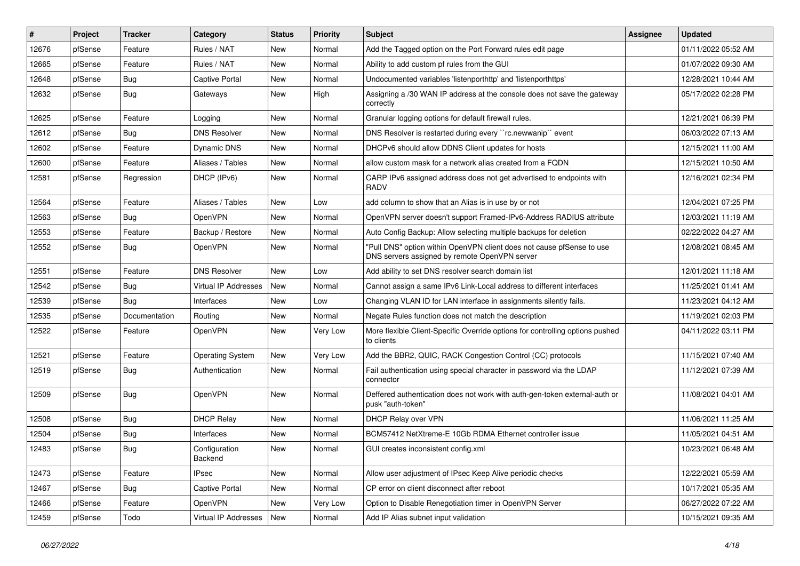| #     | Project | <b>Tracker</b> | Category                 | <b>Status</b> | <b>Priority</b> | Subject                                                                                                                | <b>Assignee</b> | <b>Updated</b>      |
|-------|---------|----------------|--------------------------|---------------|-----------------|------------------------------------------------------------------------------------------------------------------------|-----------------|---------------------|
| 12676 | pfSense | Feature        | Rules / NAT              | New           | Normal          | Add the Tagged option on the Port Forward rules edit page                                                              |                 | 01/11/2022 05:52 AM |
| 12665 | pfSense | Feature        | Rules / NAT              | New           | Normal          | Ability to add custom pf rules from the GUI                                                                            |                 | 01/07/2022 09:30 AM |
| 12648 | pfSense | Bug            | <b>Captive Portal</b>    | New           | Normal          | Undocumented variables 'listenporthttp' and 'listenporthttps'                                                          |                 | 12/28/2021 10:44 AM |
| 12632 | pfSense | Bug            | Gateways                 | New           | High            | Assigning a /30 WAN IP address at the console does not save the gateway<br>correctly                                   |                 | 05/17/2022 02:28 PM |
| 12625 | pfSense | Feature        | Logging                  | New           | Normal          | Granular logging options for default firewall rules.                                                                   |                 | 12/21/2021 06:39 PM |
| 12612 | pfSense | Bug            | <b>DNS Resolver</b>      | New           | Normal          | DNS Resolver is restarted during every "rc.newwanip" event                                                             |                 | 06/03/2022 07:13 AM |
| 12602 | pfSense | Feature        | Dynamic DNS              | New           | Normal          | DHCPv6 should allow DDNS Client updates for hosts                                                                      |                 | 12/15/2021 11:00 AM |
| 12600 | pfSense | Feature        | Aliases / Tables         | New           | Normal          | allow custom mask for a network alias created from a FQDN                                                              |                 | 12/15/2021 10:50 AM |
| 12581 | pfSense | Regression     | DHCP (IPv6)              | <b>New</b>    | Normal          | CARP IPv6 assigned address does not get advertised to endpoints with<br><b>RADV</b>                                    |                 | 12/16/2021 02:34 PM |
| 12564 | pfSense | Feature        | Aliases / Tables         | <b>New</b>    | Low             | add column to show that an Alias is in use by or not                                                                   |                 | 12/04/2021 07:25 PM |
| 12563 | pfSense | Bug            | <b>OpenVPN</b>           | New           | Normal          | OpenVPN server doesn't support Framed-IPv6-Address RADIUS attribute                                                    |                 | 12/03/2021 11:19 AM |
| 12553 | pfSense | Feature        | Backup / Restore         | New           | Normal          | Auto Config Backup: Allow selecting multiple backups for deletion                                                      |                 | 02/22/2022 04:27 AM |
| 12552 | pfSense | Bug            | <b>OpenVPN</b>           | New           | Normal          | "Pull DNS" option within OpenVPN client does not cause pfSense to use<br>DNS servers assigned by remote OpenVPN server |                 | 12/08/2021 08:45 AM |
| 12551 | pfSense | Feature        | <b>DNS Resolver</b>      | New           | Low             | Add ability to set DNS resolver search domain list                                                                     |                 | 12/01/2021 11:18 AM |
| 12542 | pfSense | <b>Bug</b>     | Virtual IP Addresses     | <b>New</b>    | Normal          | Cannot assign a same IPv6 Link-Local address to different interfaces                                                   |                 | 11/25/2021 01:41 AM |
| 12539 | pfSense | Bug            | Interfaces               | New           | Low             | Changing VLAN ID for LAN interface in assignments silently fails.                                                      |                 | 11/23/2021 04:12 AM |
| 12535 | pfSense | Documentation  | Routing                  | New           | Normal          | Negate Rules function does not match the description                                                                   |                 | 11/19/2021 02:03 PM |
| 12522 | pfSense | Feature        | <b>OpenVPN</b>           | New           | Very Low        | More flexible Client-Specific Override options for controlling options pushed<br>to clients                            |                 | 04/11/2022 03:11 PM |
| 12521 | pfSense | Feature        | <b>Operating System</b>  | New           | Very Low        | Add the BBR2, QUIC, RACK Congestion Control (CC) protocols                                                             |                 | 11/15/2021 07:40 AM |
| 12519 | pfSense | Bug            | Authentication           | New           | Normal          | Fail authentication using special character in password via the LDAP<br>connector                                      |                 | 11/12/2021 07:39 AM |
| 12509 | pfSense | Bug            | OpenVPN                  | <b>New</b>    | Normal          | Deffered authentication does not work with auth-gen-token external-auth or<br>pusk "auth-token"                        |                 | 11/08/2021 04:01 AM |
| 12508 | pfSense | Bug            | <b>DHCP Relay</b>        | New           | Normal          | DHCP Relay over VPN                                                                                                    |                 | 11/06/2021 11:25 AM |
| 12504 | pfSense | <b>Bug</b>     | Interfaces               | New           | Normal          | BCM57412 NetXtreme-E 10Gb RDMA Ethernet controller issue                                                               |                 | 11/05/2021 04:51 AM |
| 12483 | pfSense | Bug            | Configuration<br>Backend | New           | Normal          | GUI creates inconsistent config.xml                                                                                    |                 | 10/23/2021 06:48 AM |
| 12473 | pfSense | Feature        | <b>IPsec</b>             | New           | Normal          | Allow user adjustment of IPsec Keep Alive periodic checks                                                              |                 | 12/22/2021 05:59 AM |
| 12467 | pfSense | <b>Bug</b>     | Captive Portal           | New           | Normal          | CP error on client disconnect after reboot                                                                             |                 | 10/17/2021 05:35 AM |
| 12466 | pfSense | Feature        | OpenVPN                  | New           | Very Low        | Option to Disable Renegotiation timer in OpenVPN Server                                                                |                 | 06/27/2022 07:22 AM |
| 12459 | pfSense | Todo           | Virtual IP Addresses     | New           | Normal          | Add IP Alias subnet input validation                                                                                   |                 | 10/15/2021 09:35 AM |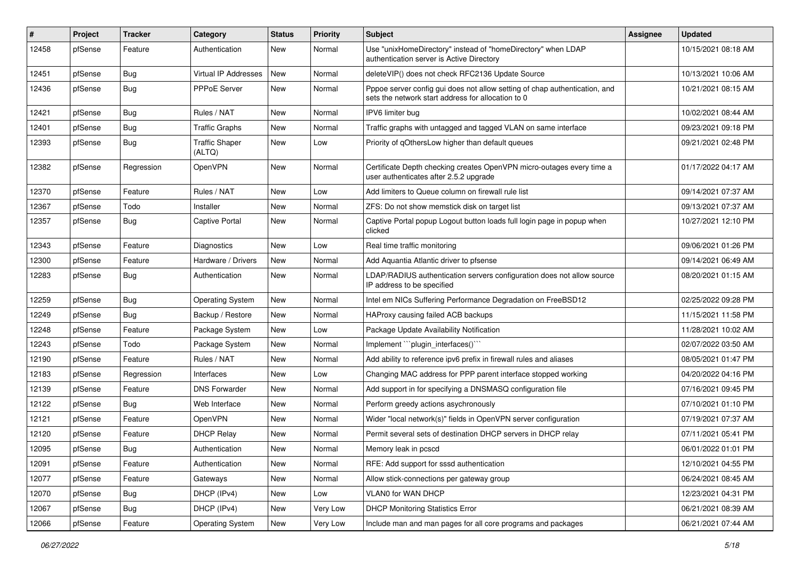| ∦     | Project | <b>Tracker</b> | Category                        | <b>Status</b> | <b>Priority</b> | Subject                                                                                                                          | <b>Assignee</b> | <b>Updated</b>      |
|-------|---------|----------------|---------------------------------|---------------|-----------------|----------------------------------------------------------------------------------------------------------------------------------|-----------------|---------------------|
| 12458 | pfSense | Feature        | Authentication                  | New           | Normal          | Use "unixHomeDirectory" instead of "homeDirectory" when LDAP<br>authentication server is Active Directory                        |                 | 10/15/2021 08:18 AM |
| 12451 | pfSense | Bug            | Virtual IP Addresses            | New           | Normal          | deleteVIP() does not check RFC2136 Update Source                                                                                 |                 | 10/13/2021 10:06 AM |
| 12436 | pfSense | Bug            | PPPoE Server                    | New           | Normal          | Pppoe server config gui does not allow setting of chap authentication, and<br>sets the network start address for allocation to 0 |                 | 10/21/2021 08:15 AM |
| 12421 | pfSense | Bug            | Rules / NAT                     | <b>New</b>    | Normal          | IPV6 limiter bug                                                                                                                 |                 | 10/02/2021 08:44 AM |
| 12401 | pfSense | Bug            | <b>Traffic Graphs</b>           | New           | Normal          | Traffic graphs with untagged and tagged VLAN on same interface                                                                   |                 | 09/23/2021 09:18 PM |
| 12393 | pfSense | Bug            | <b>Traffic Shaper</b><br>(ALTQ) | New           | Low             | Priority of gOthersLow higher than default queues                                                                                |                 | 09/21/2021 02:48 PM |
| 12382 | pfSense | Regression     | OpenVPN                         | New           | Normal          | Certificate Depth checking creates OpenVPN micro-outages every time a<br>user authenticates after 2.5.2 upgrade                  |                 | 01/17/2022 04:17 AM |
| 12370 | pfSense | Feature        | Rules / NAT                     | New           | Low             | Add limiters to Queue column on firewall rule list                                                                               |                 | 09/14/2021 07:37 AM |
| 12367 | pfSense | Todo           | Installer                       | New           | Normal          | ZFS: Do not show memstick disk on target list                                                                                    |                 | 09/13/2021 07:37 AM |
| 12357 | pfSense | Bug            | Captive Portal                  | New           | Normal          | Captive Portal popup Logout button loads full login page in popup when<br>clicked                                                |                 | 10/27/2021 12:10 PM |
| 12343 | pfSense | Feature        | <b>Diagnostics</b>              | <b>New</b>    | Low             | Real time traffic monitoring                                                                                                     |                 | 09/06/2021 01:26 PM |
| 12300 | pfSense | Feature        | Hardware / Drivers              | New           | Normal          | Add Aquantia Atlantic driver to pfsense                                                                                          |                 | 09/14/2021 06:49 AM |
| 12283 | pfSense | Bug            | Authentication                  | New           | Normal          | LDAP/RADIUS authentication servers configuration does not allow source<br>IP address to be specified                             |                 | 08/20/2021 01:15 AM |
| 12259 | pfSense | Bug            | <b>Operating System</b>         | New           | Normal          | Intel em NICs Suffering Performance Degradation on FreeBSD12                                                                     |                 | 02/25/2022 09:28 PM |
| 12249 | pfSense | Bug            | Backup / Restore                | New           | Normal          | HAProxy causing failed ACB backups                                                                                               |                 | 11/15/2021 11:58 PM |
| 12248 | pfSense | Feature        | Package System                  | <b>New</b>    | Low             | Package Update Availability Notification                                                                                         |                 | 11/28/2021 10:02 AM |
| 12243 | pfSense | Todo           | Package System                  | New           | Normal          | Implement "plugin interfaces()"                                                                                                  |                 | 02/07/2022 03:50 AM |
| 12190 | pfSense | Feature        | Rules / NAT                     | <b>New</b>    | Normal          | Add ability to reference ipv6 prefix in firewall rules and aliases                                                               |                 | 08/05/2021 01:47 PM |
| 12183 | pfSense | Regression     | Interfaces                      | New           | Low             | Changing MAC address for PPP parent interface stopped working                                                                    |                 | 04/20/2022 04:16 PM |
| 12139 | pfSense | Feature        | <b>DNS Forwarder</b>            | <b>New</b>    | Normal          | Add support in for specifying a DNSMASQ configuration file                                                                       |                 | 07/16/2021 09:45 PM |
| 12122 | pfSense | Bug            | Web Interface                   | New           | Normal          | Perform greedy actions asychronously                                                                                             |                 | 07/10/2021 01:10 PM |
| 12121 | pfSense | Feature        | OpenVPN                         | <b>New</b>    | Normal          | Wider "local network(s)" fields in OpenVPN server configuration                                                                  |                 | 07/19/2021 07:37 AM |
| 12120 | pfSense | Feature        | <b>DHCP Relay</b>               | New           | Normal          | Permit several sets of destination DHCP servers in DHCP relay                                                                    |                 | 07/11/2021 05:41 PM |
| 12095 | pfSense | Bug            | Authentication                  | New           | Normal          | Memory leak in pcscd                                                                                                             |                 | 06/01/2022 01:01 PM |
| 12091 | pfSense | Feature        | Authentication                  | New           | Normal          | RFE: Add support for sssd authentication                                                                                         |                 | 12/10/2021 04:55 PM |
| 12077 | pfSense | Feature        | Gateways                        | New           | Normal          | Allow stick-connections per gateway group                                                                                        |                 | 06/24/2021 08:45 AM |
| 12070 | pfSense | <b>Bug</b>     | DHCP (IPv4)                     | New           | Low             | VLAN0 for WAN DHCP                                                                                                               |                 | 12/23/2021 04:31 PM |
| 12067 | pfSense | <b>Bug</b>     | DHCP (IPv4)                     | New           | Very Low        | <b>DHCP Monitoring Statistics Error</b>                                                                                          |                 | 06/21/2021 08:39 AM |
| 12066 | pfSense | Feature        | <b>Operating System</b>         | New           | Very Low        | Include man and man pages for all core programs and packages                                                                     |                 | 06/21/2021 07:44 AM |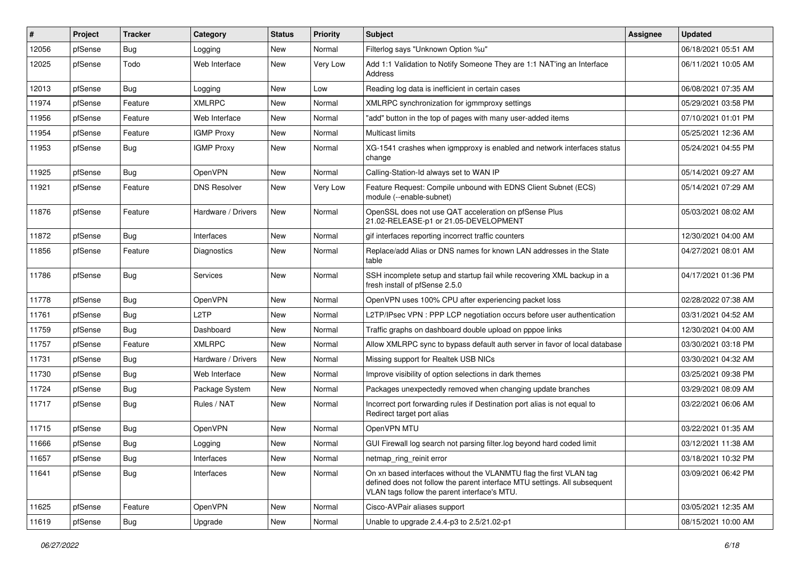| #     | Project | <b>Tracker</b> | Category            | <b>Status</b> | <b>Priority</b> | Subject                                                                                                                                                                                         | <b>Assignee</b> | <b>Updated</b>      |
|-------|---------|----------------|---------------------|---------------|-----------------|-------------------------------------------------------------------------------------------------------------------------------------------------------------------------------------------------|-----------------|---------------------|
| 12056 | pfSense | Bug            | Logging             | New           | Normal          | Filterlog says "Unknown Option %u"                                                                                                                                                              |                 | 06/18/2021 05:51 AM |
| 12025 | pfSense | Todo           | Web Interface       | New           | Very Low        | Add 1:1 Validation to Notify Someone They are 1:1 NAT'ing an Interface<br>Address                                                                                                               |                 | 06/11/2021 10:05 AM |
| 12013 | pfSense | Bug            | Logging             | New           | Low             | Reading log data is inefficient in certain cases                                                                                                                                                |                 | 06/08/2021 07:35 AM |
| 11974 | pfSense | Feature        | <b>XMLRPC</b>       | New           | Normal          | XMLRPC synchronization for igmmproxy settings                                                                                                                                                   |                 | 05/29/2021 03:58 PM |
| 11956 | pfSense | Feature        | Web Interface       | New           | Normal          | "add" button in the top of pages with many user-added items                                                                                                                                     |                 | 07/10/2021 01:01 PM |
| 11954 | pfSense | Feature        | <b>IGMP Proxy</b>   | New           | Normal          | <b>Multicast limits</b>                                                                                                                                                                         |                 | 05/25/2021 12:36 AM |
| 11953 | pfSense | Bug            | <b>IGMP Proxy</b>   | New           | Normal          | XG-1541 crashes when igmpproxy is enabled and network interfaces status<br>change                                                                                                               |                 | 05/24/2021 04:55 PM |
| 11925 | pfSense | Bug            | <b>OpenVPN</b>      | New           | Normal          | Calling-Station-Id always set to WAN IP                                                                                                                                                         |                 | 05/14/2021 09:27 AM |
| 11921 | pfSense | Feature        | <b>DNS Resolver</b> | New           | Very Low        | Feature Request: Compile unbound with EDNS Client Subnet (ECS)<br>module (--enable-subnet)                                                                                                      |                 | 05/14/2021 07:29 AM |
| 11876 | pfSense | Feature        | Hardware / Drivers  | New           | Normal          | OpenSSL does not use QAT acceleration on pfSense Plus<br>21.02-RELEASE-p1 or 21.05-DEVELOPMENT                                                                                                  |                 | 05/03/2021 08:02 AM |
| 11872 | pfSense | <b>Bug</b>     | Interfaces          | New           | Normal          | gif interfaces reporting incorrect traffic counters                                                                                                                                             |                 | 12/30/2021 04:00 AM |
| 11856 | pfSense | Feature        | Diagnostics         | New           | Normal          | Replace/add Alias or DNS names for known LAN addresses in the State<br>table                                                                                                                    |                 | 04/27/2021 08:01 AM |
| 11786 | pfSense | Bug            | <b>Services</b>     | New           | Normal          | SSH incomplete setup and startup fail while recovering XML backup in a<br>fresh install of pfSense 2.5.0                                                                                        |                 | 04/17/2021 01:36 PM |
| 11778 | pfSense | <b>Bug</b>     | OpenVPN             | New           | Normal          | OpenVPN uses 100% CPU after experiencing packet loss                                                                                                                                            |                 | 02/28/2022 07:38 AM |
| 11761 | pfSense | Bug            | L <sub>2</sub> TP   | New           | Normal          | L2TP/IPsec VPN : PPP LCP negotiation occurs before user authentication                                                                                                                          |                 | 03/31/2021 04:52 AM |
| 11759 | pfSense | Bug            | Dashboard           | New           | Normal          | Traffic graphs on dashboard double upload on pppoe links                                                                                                                                        |                 | 12/30/2021 04:00 AM |
| 11757 | pfSense | Feature        | <b>XMLRPC</b>       | New           | Normal          | Allow XMLRPC sync to bypass default auth server in favor of local database                                                                                                                      |                 | 03/30/2021 03:18 PM |
| 11731 | pfSense | Bug            | Hardware / Drivers  | New           | Normal          | Missing support for Realtek USB NICs                                                                                                                                                            |                 | 03/30/2021 04:32 AM |
| 11730 | pfSense | Bug            | Web Interface       | New           | Normal          | Improve visibility of option selections in dark themes                                                                                                                                          |                 | 03/25/2021 09:38 PM |
| 11724 | pfSense | Bug            | Package System      | New           | Normal          | Packages unexpectedly removed when changing update branches                                                                                                                                     |                 | 03/29/2021 08:09 AM |
| 11717 | pfSense | Bug            | Rules / NAT         | New           | Normal          | Incorrect port forwarding rules if Destination port alias is not equal to<br>Redirect target port alias                                                                                         |                 | 03/22/2021 06:06 AM |
| 11715 | pfSense | Bug            | <b>OpenVPN</b>      | New           | Normal          | OpenVPN MTU                                                                                                                                                                                     |                 | 03/22/2021 01:35 AM |
| 11666 | pfSense | Bug            | Logging             | New           | Normal          | GUI Firewall log search not parsing filter.log beyond hard coded limit                                                                                                                          |                 | 03/12/2021 11:38 AM |
| 11657 | pfSense | Bug            | Interfaces          | New           | Normal          | netmap_ring_reinit error                                                                                                                                                                        |                 | 03/18/2021 10:32 PM |
| 11641 | pfSense | Bug            | Interfaces          | New           | Normal          | On xn based interfaces without the VLANMTU flag the first VLAN tag<br>defined does not follow the parent interface MTU settings. All subsequent<br>VLAN tags follow the parent interface's MTU. |                 | 03/09/2021 06:42 PM |
| 11625 | pfSense | Feature        | <b>OpenVPN</b>      | New           | Normal          | Cisco-AVPair aliases support                                                                                                                                                                    |                 | 03/05/2021 12:35 AM |
| 11619 | pfSense | Bug            | Upgrade             | New           | Normal          | Unable to upgrade 2.4.4-p3 to 2.5/21.02-p1                                                                                                                                                      |                 | 08/15/2021 10:00 AM |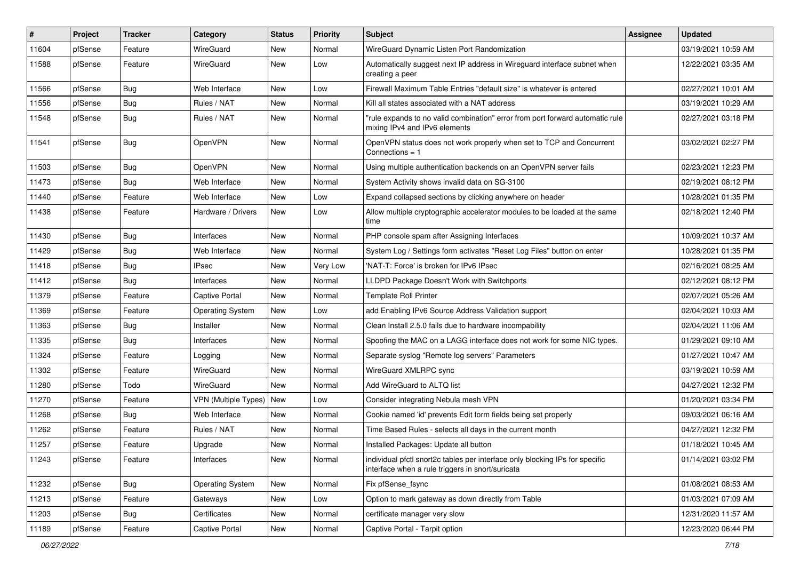| #     | Project | <b>Tracker</b> | Category                    | <b>Status</b> | <b>Priority</b> | Subject                                                                                                                          | Assignee | <b>Updated</b>      |
|-------|---------|----------------|-----------------------------|---------------|-----------------|----------------------------------------------------------------------------------------------------------------------------------|----------|---------------------|
| 11604 | pfSense | Feature        | WireGuard                   | New           | Normal          | WireGuard Dynamic Listen Port Randomization                                                                                      |          | 03/19/2021 10:59 AM |
| 11588 | pfSense | Feature        | WireGuard                   | New           | Low             | Automatically suggest next IP address in Wireguard interface subnet when<br>creating a peer                                      |          | 12/22/2021 03:35 AM |
| 11566 | pfSense | Bug            | Web Interface               | <b>New</b>    | Low             | Firewall Maximum Table Entries "default size" is whatever is entered                                                             |          | 02/27/2021 10:01 AM |
| 11556 | pfSense | Bug            | Rules / NAT                 | New           | Normal          | Kill all states associated with a NAT address                                                                                    |          | 03/19/2021 10:29 AM |
| 11548 | pfSense | Bug            | Rules / NAT                 | New           | Normal          | "rule expands to no valid combination" error from port forward automatic rule<br>mixing IPv4 and IPv6 elements                   |          | 02/27/2021 03:18 PM |
| 11541 | pfSense | Bug            | OpenVPN                     | New           | Normal          | OpenVPN status does not work properly when set to TCP and Concurrent<br>Connections = $1$                                        |          | 03/02/2021 02:27 PM |
| 11503 | pfSense | Bug            | OpenVPN                     | New           | Normal          | Using multiple authentication backends on an OpenVPN server fails                                                                |          | 02/23/2021 12:23 PM |
| 11473 | pfSense | Bug            | Web Interface               | New           | Normal          | System Activity shows invalid data on SG-3100                                                                                    |          | 02/19/2021 08:12 PM |
| 11440 | pfSense | Feature        | Web Interface               | <b>New</b>    | Low             | Expand collapsed sections by clicking anywhere on header                                                                         |          | 10/28/2021 01:35 PM |
| 11438 | pfSense | Feature        | Hardware / Drivers          | New           | Low             | Allow multiple cryptographic accelerator modules to be loaded at the same<br>time                                                |          | 02/18/2021 12:40 PM |
| 11430 | pfSense | Bug            | Interfaces                  | <b>New</b>    | Normal          | PHP console spam after Assigning Interfaces                                                                                      |          | 10/09/2021 10:37 AM |
| 11429 | pfSense | Bug            | Web Interface               | <b>New</b>    | Normal          | System Log / Settings form activates "Reset Log Files" button on enter                                                           |          | 10/28/2021 01:35 PM |
| 11418 | pfSense | Bug            | <b>IPsec</b>                | New           | Very Low        | 'NAT-T: Force' is broken for IPv6 IPsec                                                                                          |          | 02/16/2021 08:25 AM |
| 11412 | pfSense | Bug            | Interfaces                  | <b>New</b>    | Normal          | LLDPD Package Doesn't Work with Switchports                                                                                      |          | 02/12/2021 08:12 PM |
| 11379 | pfSense | Feature        | Captive Portal              | New           | Normal          | <b>Template Roll Printer</b>                                                                                                     |          | 02/07/2021 05:26 AM |
| 11369 | pfSense | Feature        | <b>Operating System</b>     | New           | Low             | add Enabling IPv6 Source Address Validation support                                                                              |          | 02/04/2021 10:03 AM |
| 11363 | pfSense | Bug            | Installer                   | New           | Normal          | Clean Install 2.5.0 fails due to hardware incompability                                                                          |          | 02/04/2021 11:06 AM |
| 11335 | pfSense | Bug            | Interfaces                  | New           | Normal          | Spoofing the MAC on a LAGG interface does not work for some NIC types.                                                           |          | 01/29/2021 09:10 AM |
| 11324 | pfSense | Feature        | Logging                     | New           | Normal          | Separate syslog "Remote log servers" Parameters                                                                                  |          | 01/27/2021 10:47 AM |
| 11302 | pfSense | Feature        | WireGuard                   | New           | Normal          | WireGuard XMLRPC sync                                                                                                            |          | 03/19/2021 10:59 AM |
| 11280 | pfSense | Todo           | WireGuard                   | New           | Normal          | Add WireGuard to ALTQ list                                                                                                       |          | 04/27/2021 12:32 PM |
| 11270 | pfSense | Feature        | <b>VPN (Multiple Types)</b> | New           | Low             | Consider integrating Nebula mesh VPN                                                                                             |          | 01/20/2021 03:34 PM |
| 11268 | pfSense | Bug            | Web Interface               | New           | Normal          | Cookie named 'id' prevents Edit form fields being set properly                                                                   |          | 09/03/2021 06:16 AM |
| 11262 | pfSense | Feature        | Rules / NAT                 | New           | Normal          | Time Based Rules - selects all days in the current month                                                                         |          | 04/27/2021 12:32 PM |
| 11257 | pfSense | Feature        | Upgrade                     | <b>New</b>    | Normal          | Installed Packages: Update all button                                                                                            |          | 01/18/2021 10:45 AM |
| 11243 | pfSense | Feature        | Interfaces                  | New           | Normal          | individual pfctl snort2c tables per interface only blocking IPs for specific<br>interface when a rule triggers in snort/suricata |          | 01/14/2021 03:02 PM |
| 11232 | pfSense | <b>Bug</b>     | <b>Operating System</b>     | New           | Normal          | Fix pfSense_fsync                                                                                                                |          | 01/08/2021 08:53 AM |
| 11213 | pfSense | Feature        | Gateways                    | New           | Low             | Option to mark gateway as down directly from Table                                                                               |          | 01/03/2021 07:09 AM |
| 11203 | pfSense | Bug            | Certificates                | New           | Normal          | certificate manager very slow                                                                                                    |          | 12/31/2020 11:57 AM |
| 11189 | pfSense | Feature        | Captive Portal              | New           | Normal          | Captive Portal - Tarpit option                                                                                                   |          | 12/23/2020 06:44 PM |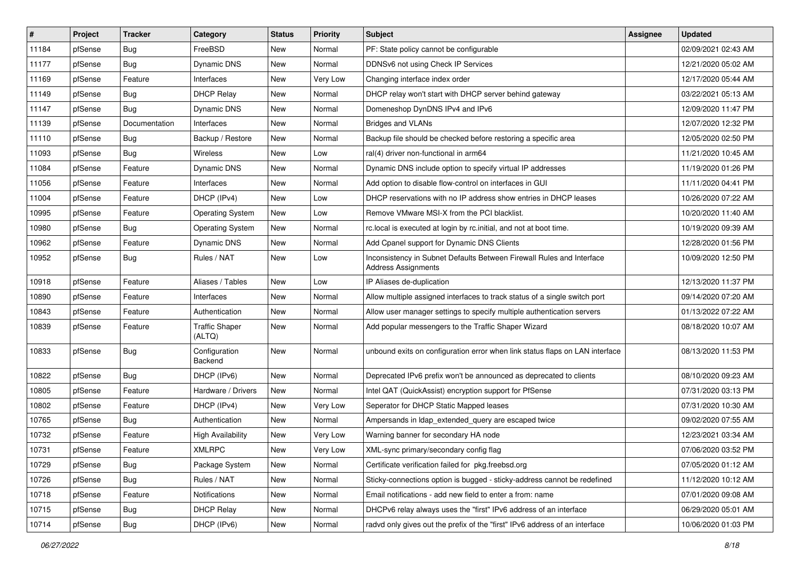| #     | Project | <b>Tracker</b> | Category                        | <b>Status</b> | <b>Priority</b> | Subject                                                                                             | <b>Assignee</b> | <b>Updated</b>      |
|-------|---------|----------------|---------------------------------|---------------|-----------------|-----------------------------------------------------------------------------------------------------|-----------------|---------------------|
| 11184 | pfSense | <b>Bug</b>     | FreeBSD                         | New           | Normal          | PF: State policy cannot be configurable                                                             |                 | 02/09/2021 02:43 AM |
| 11177 | pfSense | Bug            | Dynamic DNS                     | New           | Normal          | DDNSv6 not using Check IP Services                                                                  |                 | 12/21/2020 05:02 AM |
| 11169 | pfSense | Feature        | Interfaces                      | New           | <b>Very Low</b> | Changing interface index order                                                                      |                 | 12/17/2020 05:44 AM |
| 11149 | pfSense | <b>Bug</b>     | <b>DHCP Relay</b>               | <b>New</b>    | Normal          | DHCP relay won't start with DHCP server behind gateway                                              |                 | 03/22/2021 05:13 AM |
| 11147 | pfSense | Bug            | Dynamic DNS                     | New           | Normal          | Domeneshop DynDNS IPv4 and IPv6                                                                     |                 | 12/09/2020 11:47 PM |
| 11139 | pfSense | Documentation  | Interfaces                      | New           | Normal          | <b>Bridges and VLANs</b>                                                                            |                 | 12/07/2020 12:32 PM |
| 11110 | pfSense | Bug            | Backup / Restore                | New           | Normal          | Backup file should be checked before restoring a specific area                                      |                 | 12/05/2020 02:50 PM |
| 11093 | pfSense | Bug            | Wireless                        | New           | Low             | ral(4) driver non-functional in arm64                                                               |                 | 11/21/2020 10:45 AM |
| 11084 | pfSense | Feature        | Dynamic DNS                     | New           | Normal          | Dynamic DNS include option to specify virtual IP addresses                                          |                 | 11/19/2020 01:26 PM |
| 11056 | pfSense | Feature        | Interfaces                      | New           | Normal          | Add option to disable flow-control on interfaces in GUI                                             |                 | 11/11/2020 04:41 PM |
| 11004 | pfSense | Feature        | DHCP (IPv4)                     | New           | Low             | DHCP reservations with no IP address show entries in DHCP leases                                    |                 | 10/26/2020 07:22 AM |
| 10995 | pfSense | Feature        | <b>Operating System</b>         | New           | Low             | Remove VMware MSI-X from the PCI blacklist.                                                         |                 | 10/20/2020 11:40 AM |
| 10980 | pfSense | <b>Bug</b>     | <b>Operating System</b>         | <b>New</b>    | Normal          | rc.local is executed at login by rc.initial, and not at boot time.                                  |                 | 10/19/2020 09:39 AM |
| 10962 | pfSense | Feature        | Dynamic DNS                     | New           | Normal          | Add Cpanel support for Dynamic DNS Clients                                                          |                 | 12/28/2020 01:56 PM |
| 10952 | pfSense | <b>Bug</b>     | Rules / NAT                     | <b>New</b>    | Low             | Inconsistency in Subnet Defaults Between Firewall Rules and Interface<br><b>Address Assignments</b> |                 | 10/09/2020 12:50 PM |
| 10918 | pfSense | Feature        | Aliases / Tables                | New           | Low             | IP Aliases de-duplication                                                                           |                 | 12/13/2020 11:37 PM |
| 10890 | pfSense | Feature        | Interfaces                      | New           | Normal          | Allow multiple assigned interfaces to track status of a single switch port                          |                 | 09/14/2020 07:20 AM |
| 10843 | pfSense | Feature        | Authentication                  | New           | Normal          | Allow user manager settings to specify multiple authentication servers                              |                 | 01/13/2022 07:22 AM |
| 10839 | pfSense | Feature        | <b>Traffic Shaper</b><br>(ALTQ) | New           | Normal          | Add popular messengers to the Traffic Shaper Wizard                                                 |                 | 08/18/2020 10:07 AM |
| 10833 | pfSense | Bug            | Configuration<br>Backend        | New           | Normal          | unbound exits on configuration error when link status flaps on LAN interface                        |                 | 08/13/2020 11:53 PM |
| 10822 | pfSense | Bug            | DHCP (IPv6)                     | New           | Normal          | Deprecated IPv6 prefix won't be announced as deprecated to clients                                  |                 | 08/10/2020 09:23 AM |
| 10805 | pfSense | Feature        | Hardware / Drivers              | New           | Normal          | Intel QAT (QuickAssist) encryption support for PfSense                                              |                 | 07/31/2020 03:13 PM |
| 10802 | pfSense | Feature        | DHCP (IPv4)                     | New           | <b>Very Low</b> | Seperator for DHCP Static Mapped leases                                                             |                 | 07/31/2020 10:30 AM |
| 10765 | pfSense | Bug            | Authentication                  | New           | Normal          | Ampersands in Idap_extended_query are escaped twice                                                 |                 | 09/02/2020 07:55 AM |
| 10732 | pfSense | Feature        | <b>High Availability</b>        | New           | Very Low        | Warning banner for secondary HA node                                                                |                 | 12/23/2021 03:34 AM |
| 10731 | pfSense | Feature        | <b>XMLRPC</b>                   | New           | Very Low        | XML-sync primary/secondary config flag                                                              |                 | 07/06/2020 03:52 PM |
| 10729 | pfSense | Bug            | Package System                  | New           | Normal          | Certificate verification failed for pkg.freebsd.org                                                 |                 | 07/05/2020 01:12 AM |
| 10726 | pfSense | Bug            | Rules / NAT                     | New           | Normal          | Sticky-connections option is bugged - sticky-address cannot be redefined                            |                 | 11/12/2020 10:12 AM |
| 10718 | pfSense | Feature        | Notifications                   | New           | Normal          | Email notifications - add new field to enter a from: name                                           |                 | 07/01/2020 09:08 AM |
| 10715 | pfSense | Bug            | <b>DHCP Relay</b>               | New           | Normal          | DHCPv6 relay always uses the "first" IPv6 address of an interface                                   |                 | 06/29/2020 05:01 AM |
| 10714 | pfSense | Bug            | DHCP (IPv6)                     | New           | Normal          | radvd only gives out the prefix of the "first" IPv6 address of an interface                         |                 | 10/06/2020 01:03 PM |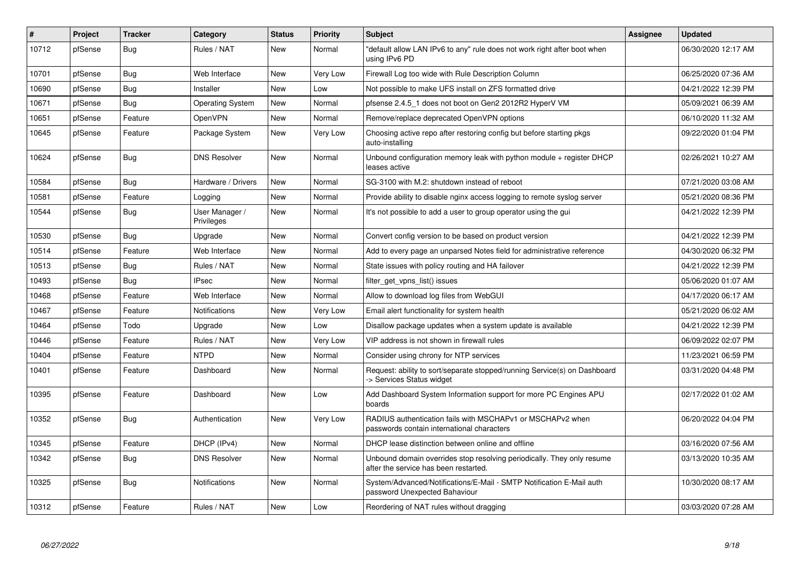| #     | Project | <b>Tracker</b> | Category                     | <b>Status</b> | <b>Priority</b> | <b>Subject</b>                                                                                                  | <b>Assignee</b> | <b>Updated</b>      |
|-------|---------|----------------|------------------------------|---------------|-----------------|-----------------------------------------------------------------------------------------------------------------|-----------------|---------------------|
| 10712 | pfSense | Bug            | Rules / NAT                  | <b>New</b>    | Normal          | default allow LAN IPv6 to any" rule does not work right after boot when<br>using IPv6 PD                        |                 | 06/30/2020 12:17 AM |
| 10701 | pfSense | Bug            | Web Interface                | New           | Very Low        | Firewall Log too wide with Rule Description Column                                                              |                 | 06/25/2020 07:36 AM |
| 10690 | pfSense | <b>Bug</b>     | Installer                    | <b>New</b>    | Low             | Not possible to make UFS install on ZFS formatted drive                                                         |                 | 04/21/2022 12:39 PM |
| 10671 | pfSense | Bug            | <b>Operating System</b>      | New           | Normal          | pfsense 2.4.5 1 does not boot on Gen2 2012R2 HyperV VM                                                          |                 | 05/09/2021 06:39 AM |
| 10651 | pfSense | Feature        | OpenVPN                      | New           | Normal          | Remove/replace deprecated OpenVPN options                                                                       |                 | 06/10/2020 11:32 AM |
| 10645 | pfSense | Feature        | Package System               | New           | Very Low        | Choosing active repo after restoring config but before starting pkgs<br>auto-installing                         |                 | 09/22/2020 01:04 PM |
| 10624 | pfSense | Bug            | <b>DNS Resolver</b>          | New           | Normal          | Unbound configuration memory leak with python module $+$ register DHCP<br>leases active                         |                 | 02/26/2021 10:27 AM |
| 10584 | pfSense | <b>Bug</b>     | Hardware / Drivers           | <b>New</b>    | Normal          | SG-3100 with M.2: shutdown instead of reboot                                                                    |                 | 07/21/2020 03:08 AM |
| 10581 | pfSense | Feature        | Logging                      | New           | Normal          | Provide ability to disable nginx access logging to remote syslog server                                         |                 | 05/21/2020 08:36 PM |
| 10544 | pfSense | Bug            | User Manager /<br>Privileges | New           | Normal          | It's not possible to add a user to group operator using the gui                                                 |                 | 04/21/2022 12:39 PM |
| 10530 | pfSense | <b>Bug</b>     | Upgrade                      | <b>New</b>    | Normal          | Convert config version to be based on product version                                                           |                 | 04/21/2022 12:39 PM |
| 10514 | pfSense | Feature        | Web Interface                | New           | Normal          | Add to every page an unparsed Notes field for administrative reference                                          |                 | 04/30/2020 06:32 PM |
| 10513 | pfSense | Bug            | Rules / NAT                  | <b>New</b>    | Normal          | State issues with policy routing and HA failover                                                                |                 | 04/21/2022 12:39 PM |
| 10493 | pfSense | Bug            | <b>IPsec</b>                 | New           | Normal          | filter_get_vpns_list() issues                                                                                   |                 | 05/06/2020 01:07 AM |
| 10468 | pfSense | Feature        | Web Interface                | <b>New</b>    | Normal          | Allow to download log files from WebGUI                                                                         |                 | 04/17/2020 06:17 AM |
| 10467 | pfSense | Feature        | <b>Notifications</b>         | New           | Very Low        | Email alert functionality for system health                                                                     |                 | 05/21/2020 06:02 AM |
| 10464 | pfSense | Todo           | Upgrade                      | New           | Low             | Disallow package updates when a system update is available                                                      |                 | 04/21/2022 12:39 PM |
| 10446 | pfSense | Feature        | Rules / NAT                  | New           | Very Low        | VIP address is not shown in firewall rules                                                                      |                 | 06/09/2022 02:07 PM |
| 10404 | pfSense | Feature        | <b>NTPD</b>                  | New           | Normal          | Consider using chrony for NTP services                                                                          |                 | 11/23/2021 06:59 PM |
| 10401 | pfSense | Feature        | Dashboard                    | New           | Normal          | Request: ability to sort/separate stopped/running Service(s) on Dashboard<br>-> Services Status widget          |                 | 03/31/2020 04:48 PM |
| 10395 | pfSense | Feature        | Dashboard                    | New           | Low             | Add Dashboard System Information support for more PC Engines APU<br>boards                                      |                 | 02/17/2022 01:02 AM |
| 10352 | pfSense | Bug            | Authentication               | <b>New</b>    | Very Low        | RADIUS authentication fails with MSCHAPv1 or MSCHAPv2 when<br>passwords contain international characters        |                 | 06/20/2022 04:04 PM |
| 10345 | pfSense | Feature        | DHCP (IPv4)                  | <b>New</b>    | Normal          | DHCP lease distinction between online and offline                                                               |                 | 03/16/2020 07:56 AM |
| 10342 | pfSense | Bug            | <b>DNS Resolver</b>          | New           | Normal          | Unbound domain overrides stop resolving periodically. They only resume<br>after the service has been restarted. |                 | 03/13/2020 10:35 AM |
| 10325 | pfSense | <b>Bug</b>     | Notifications                | <b>New</b>    | Normal          | System/Advanced/Notifications/E-Mail - SMTP Notification E-Mail auth<br>password Unexpected Bahaviour           |                 | 10/30/2020 08:17 AM |
| 10312 | pfSense | Feature        | Rules / NAT                  | <b>New</b>    | Low             | Reordering of NAT rules without dragging                                                                        |                 | 03/03/2020 07:28 AM |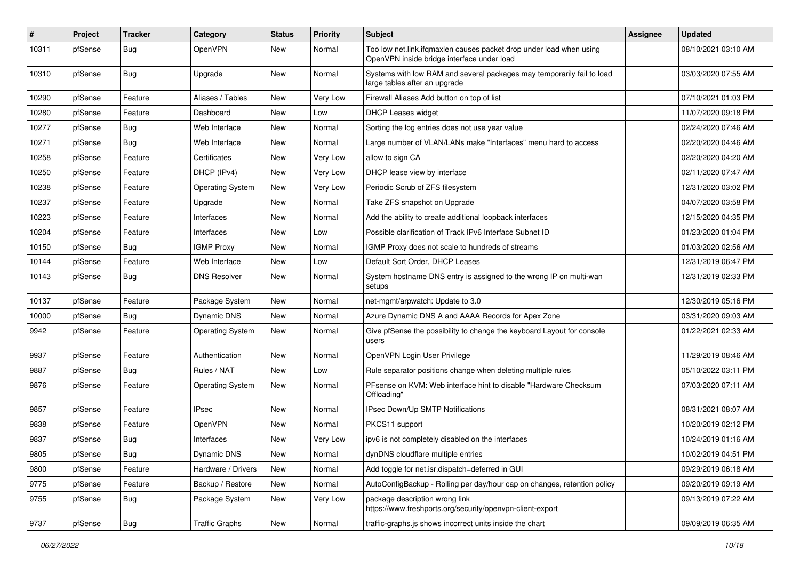| ∦     | Project | <b>Tracker</b> | Category                | <b>Status</b> | <b>Priority</b> | <b>Subject</b>                                                                                                    | <b>Assignee</b> | <b>Updated</b>      |
|-------|---------|----------------|-------------------------|---------------|-----------------|-------------------------------------------------------------------------------------------------------------------|-----------------|---------------------|
| 10311 | pfSense | Bug            | OpenVPN                 | New           | Normal          | Too low net.link.ifqmaxlen causes packet drop under load when using<br>OpenVPN inside bridge interface under load |                 | 08/10/2021 03:10 AM |
| 10310 | pfSense | Bug            | Upgrade                 | New           | Normal          | Systems with low RAM and several packages may temporarily fail to load<br>large tables after an upgrade           |                 | 03/03/2020 07:55 AM |
| 10290 | pfSense | Feature        | Aliases / Tables        | New           | <b>Very Low</b> | Firewall Aliases Add button on top of list                                                                        |                 | 07/10/2021 01:03 PM |
| 10280 | pfSense | Feature        | Dashboard               | New           | Low             | <b>DHCP Leases widget</b>                                                                                         |                 | 11/07/2020 09:18 PM |
| 10277 | pfSense | Bug            | Web Interface           | New           | Normal          | Sorting the log entries does not use year value                                                                   |                 | 02/24/2020 07:46 AM |
| 10271 | pfSense | Bug            | Web Interface           | <b>New</b>    | Normal          | Large number of VLAN/LANs make "Interfaces" menu hard to access                                                   |                 | 02/20/2020 04:46 AM |
| 10258 | pfSense | Feature        | Certificates            | New           | <b>Very Low</b> | allow to sign CA                                                                                                  |                 | 02/20/2020 04:20 AM |
| 10250 | pfSense | Feature        | DHCP (IPv4)             | <b>New</b>    | <b>Very Low</b> | DHCP lease view by interface                                                                                      |                 | 02/11/2020 07:47 AM |
| 10238 | pfSense | Feature        | <b>Operating System</b> | New           | Very Low        | Periodic Scrub of ZFS filesystem                                                                                  |                 | 12/31/2020 03:02 PM |
| 10237 | pfSense | Feature        | Upgrade                 | New           | Normal          | Take ZFS snapshot on Upgrade                                                                                      |                 | 04/07/2020 03:58 PM |
| 10223 | pfSense | Feature        | Interfaces              | New           | Normal          | Add the ability to create additional loopback interfaces                                                          |                 | 12/15/2020 04:35 PM |
| 10204 | pfSense | Feature        | Interfaces              | New           | Low             | Possible clarification of Track IPv6 Interface Subnet ID                                                          |                 | 01/23/2020 01:04 PM |
| 10150 | pfSense | Bug            | <b>IGMP Proxy</b>       | New           | Normal          | IGMP Proxy does not scale to hundreds of streams                                                                  |                 | 01/03/2020 02:56 AM |
| 10144 | pfSense | Feature        | Web Interface           | New           | Low             | Default Sort Order, DHCP Leases                                                                                   |                 | 12/31/2019 06:47 PM |
| 10143 | pfSense | Bug            | <b>DNS Resolver</b>     | New           | Normal          | System hostname DNS entry is assigned to the wrong IP on multi-wan<br>setups                                      |                 | 12/31/2019 02:33 PM |
| 10137 | pfSense | Feature        | Package System          | New           | Normal          | net-mgmt/arpwatch: Update to 3.0                                                                                  |                 | 12/30/2019 05:16 PM |
| 10000 | pfSense | Bug            | Dynamic DNS             | New           | Normal          | Azure Dynamic DNS A and AAAA Records for Apex Zone                                                                |                 | 03/31/2020 09:03 AM |
| 9942  | pfSense | Feature        | <b>Operating System</b> | <b>New</b>    | Normal          | Give pfSense the possibility to change the keyboard Layout for console<br>users                                   |                 | 01/22/2021 02:33 AM |
| 9937  | pfSense | Feature        | Authentication          | <b>New</b>    | Normal          | OpenVPN Login User Privilege                                                                                      |                 | 11/29/2019 08:46 AM |
| 9887  | pfSense | Bug            | Rules / NAT             | New           | Low             | Rule separator positions change when deleting multiple rules                                                      |                 | 05/10/2022 03:11 PM |
| 9876  | pfSense | Feature        | <b>Operating System</b> | New           | Normal          | PFsense on KVM: Web interface hint to disable "Hardware Checksum<br>Offloading"                                   |                 | 07/03/2020 07:11 AM |
| 9857  | pfSense | Feature        | <b>IPsec</b>            | New           | Normal          | IPsec Down/Up SMTP Notifications                                                                                  |                 | 08/31/2021 08:07 AM |
| 9838  | pfSense | Feature        | OpenVPN                 | New           | Normal          | PKCS11 support                                                                                                    |                 | 10/20/2019 02:12 PM |
| 9837  | pfSense | Bug            | Interfaces              | New           | Very Low        | ipv6 is not completely disabled on the interfaces                                                                 |                 | 10/24/2019 01:16 AM |
| 9805  | ptSense | Bug            | Dynamic DNS             | New           | Normal          | dynDNS cloudflare multiple entries                                                                                |                 | 10/02/2019 04:51 PM |
| 9800  | pfSense | Feature        | Hardware / Drivers      | New           | Normal          | Add toggle for net.isr.dispatch=deferred in GUI                                                                   |                 | 09/29/2019 06:18 AM |
| 9775  | pfSense | Feature        | Backup / Restore        | New           | Normal          | AutoConfigBackup - Rolling per day/hour cap on changes, retention policy                                          |                 | 09/20/2019 09:19 AM |
| 9755  | pfSense | <b>Bug</b>     | Package System          | New           | Very Low        | package description wrong link<br>https://www.freshports.org/security/openvpn-client-export                       |                 | 09/13/2019 07:22 AM |
| 9737  | pfSense | <b>Bug</b>     | <b>Traffic Graphs</b>   | New           | Normal          | traffic-graphs.js shows incorrect units inside the chart                                                          |                 | 09/09/2019 06:35 AM |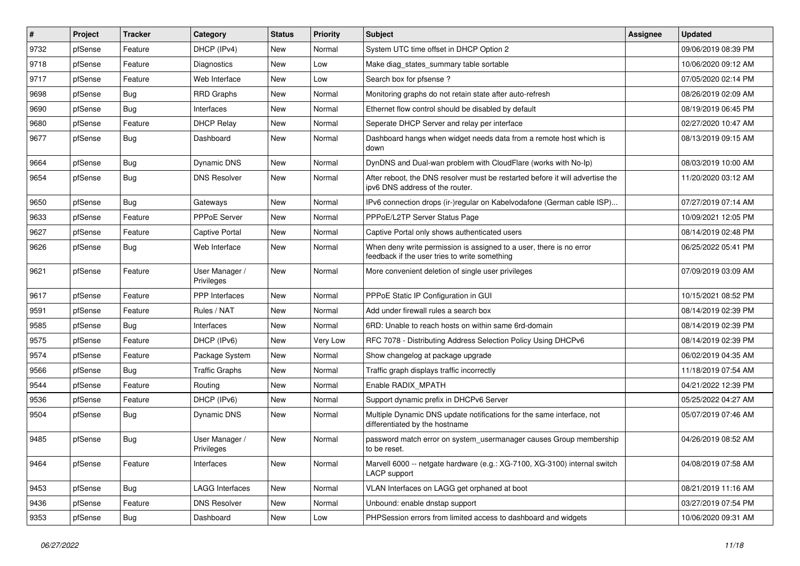| $\vert$ # | Project | <b>Tracker</b> | Category                     | <b>Status</b> | <b>Priority</b> | <b>Subject</b>                                                                                                       | <b>Assignee</b> | <b>Updated</b>      |
|-----------|---------|----------------|------------------------------|---------------|-----------------|----------------------------------------------------------------------------------------------------------------------|-----------------|---------------------|
| 9732      | pfSense | Feature        | DHCP (IPv4)                  | New           | Normal          | System UTC time offset in DHCP Option 2                                                                              |                 | 09/06/2019 08:39 PM |
| 9718      | pfSense | Feature        | Diagnostics                  | New           | Low             | Make diag_states_summary table sortable                                                                              |                 | 10/06/2020 09:12 AM |
| 9717      | pfSense | Feature        | Web Interface                | New           | Low             | Search box for pfsense?                                                                                              |                 | 07/05/2020 02:14 PM |
| 9698      | pfSense | Bug            | <b>RRD Graphs</b>            | <b>New</b>    | Normal          | Monitoring graphs do not retain state after auto-refresh                                                             |                 | 08/26/2019 02:09 AM |
| 9690      | pfSense | <b>Bug</b>     | Interfaces                   | <b>New</b>    | Normal          | Ethernet flow control should be disabled by default                                                                  |                 | 08/19/2019 06:45 PM |
| 9680      | pfSense | Feature        | <b>DHCP Relay</b>            | New           | Normal          | Seperate DHCP Server and relay per interface                                                                         |                 | 02/27/2020 10:47 AM |
| 9677      | pfSense | Bug            | Dashboard                    | New           | Normal          | Dashboard hangs when widget needs data from a remote host which is<br>down                                           |                 | 08/13/2019 09:15 AM |
| 9664      | pfSense | <b>Bug</b>     | Dynamic DNS                  | <b>New</b>    | Normal          | DynDNS and Dual-wan problem with CloudFlare (works with No-Ip)                                                       |                 | 08/03/2019 10:00 AM |
| 9654      | pfSense | <b>Bug</b>     | <b>DNS Resolver</b>          | New           | Normal          | After reboot, the DNS resolver must be restarted before it will advertise the<br>ipv6 DNS address of the router.     |                 | 11/20/2020 03:12 AM |
| 9650      | pfSense | <b>Bug</b>     | Gateways                     | <b>New</b>    | Normal          | IPv6 connection drops (ir-)regular on Kabelvodafone (German cable ISP)                                               |                 | 07/27/2019 07:14 AM |
| 9633      | pfSense | Feature        | PPPoE Server                 | <b>New</b>    | Normal          | PPPoE/L2TP Server Status Page                                                                                        |                 | 10/09/2021 12:05 PM |
| 9627      | pfSense | Feature        | Captive Portal               | <b>New</b>    | Normal          | Captive Portal only shows authenticated users                                                                        |                 | 08/14/2019 02:48 PM |
| 9626      | pfSense | Bug            | Web Interface                | New           | Normal          | When deny write permission is assigned to a user, there is no error<br>feedback if the user tries to write something |                 | 06/25/2022 05:41 PM |
| 9621      | pfSense | Feature        | User Manager /<br>Privileges | New           | Normal          | More convenient deletion of single user privileges                                                                   |                 | 07/09/2019 03:09 AM |
| 9617      | pfSense | Feature        | <b>PPP</b> Interfaces        | New           | Normal          | PPPoE Static IP Configuration in GUI                                                                                 |                 | 10/15/2021 08:52 PM |
| 9591      | pfSense | Feature        | Rules / NAT                  | <b>New</b>    | Normal          | Add under firewall rules a search box                                                                                |                 | 08/14/2019 02:39 PM |
| 9585      | pfSense | <b>Bug</b>     | Interfaces                   | <b>New</b>    | Normal          | 6RD: Unable to reach hosts on within same 6rd-domain                                                                 |                 | 08/14/2019 02:39 PM |
| 9575      | pfSense | Feature        | DHCP (IPv6)                  | New           | Very Low        | RFC 7078 - Distributing Address Selection Policy Using DHCPv6                                                        |                 | 08/14/2019 02:39 PM |
| 9574      | pfSense | Feature        | Package System               | <b>New</b>    | Normal          | Show changelog at package upgrade                                                                                    |                 | 06/02/2019 04:35 AM |
| 9566      | pfSense | Bug            | <b>Traffic Graphs</b>        | <b>New</b>    | Normal          | Traffic graph displays traffic incorrectly                                                                           |                 | 11/18/2019 07:54 AM |
| 9544      | pfSense | Feature        | Routing                      | New           | Normal          | Enable RADIX_MPATH                                                                                                   |                 | 04/21/2022 12:39 PM |
| 9536      | pfSense | Feature        | DHCP (IPv6)                  | New           | Normal          | Support dynamic prefix in DHCPv6 Server                                                                              |                 | 05/25/2022 04:27 AM |
| 9504      | pfSense | <b>Bug</b>     | Dynamic DNS                  | New           | Normal          | Multiple Dynamic DNS update notifications for the same interface, not<br>differentiated by the hostname              |                 | 05/07/2019 07:46 AM |
| 9485      | pfSense | Bug            | User Manager /<br>Privileges | New           | Normal          | password match error on system_usermanager causes Group membership<br>to be reset.                                   |                 | 04/26/2019 08:52 AM |
| 9464      | pfSense | Feature        | Interfaces                   | New           | Normal          | Marvell 6000 -- netgate hardware (e.g.: XG-7100, XG-3100) internal switch<br>LACP support                            |                 | 04/08/2019 07:58 AM |
| 9453      | pfSense | <b>Bug</b>     | <b>LAGG Interfaces</b>       | New           | Normal          | VLAN Interfaces on LAGG get orphaned at boot                                                                         |                 | 08/21/2019 11:16 AM |
| 9436      | pfSense | Feature        | <b>DNS Resolver</b>          | New           | Normal          | Unbound: enable dnstap support                                                                                       |                 | 03/27/2019 07:54 PM |
| 9353      | pfSense | Bug            | Dashboard                    | New           | Low             | PHPSession errors from limited access to dashboard and widgets                                                       |                 | 10/06/2020 09:31 AM |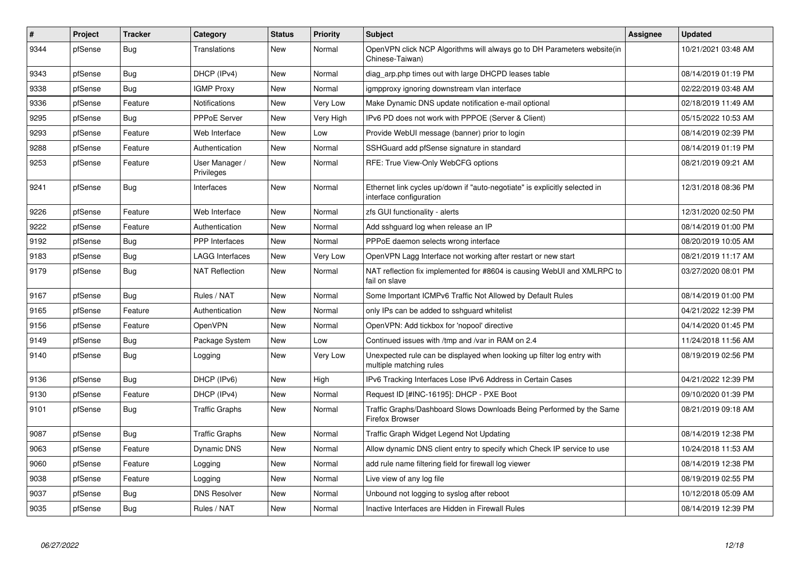| #    | Project | <b>Tracker</b> | Category                     | <b>Status</b> | <b>Priority</b> | <b>Subject</b>                                                                                        | Assignee | <b>Updated</b>      |
|------|---------|----------------|------------------------------|---------------|-----------------|-------------------------------------------------------------------------------------------------------|----------|---------------------|
| 9344 | pfSense | Bug            | <b>Translations</b>          | New           | Normal          | OpenVPN click NCP Algorithms will always go to DH Parameters website(in<br>Chinese-Taiwan)            |          | 10/21/2021 03:48 AM |
| 9343 | pfSense | Bug            | DHCP (IPv4)                  | New           | Normal          | diag arp.php times out with large DHCPD leases table                                                  |          | 08/14/2019 01:19 PM |
| 9338 | pfSense | Bug            | <b>IGMP Proxy</b>            | <b>New</b>    | Normal          | igmpproxy ignoring downstream vlan interface                                                          |          | 02/22/2019 03:48 AM |
| 9336 | pfSense | Feature        | Notifications                | <b>New</b>    | Very Low        | Make Dynamic DNS update notification e-mail optional                                                  |          | 02/18/2019 11:49 AM |
| 9295 | pfSense | Bug            | <b>PPPoE Server</b>          | <b>New</b>    | Very High       | IPv6 PD does not work with PPPOE (Server & Client)                                                    |          | 05/15/2022 10:53 AM |
| 9293 | pfSense | Feature        | Web Interface                | New           | Low             | Provide WebUI message (banner) prior to login                                                         |          | 08/14/2019 02:39 PM |
| 9288 | pfSense | Feature        | Authentication               | New           | Normal          | SSHGuard add pfSense signature in standard                                                            |          | 08/14/2019 01:19 PM |
| 9253 | pfSense | Feature        | User Manager /<br>Privileges | New           | Normal          | RFE: True View-Only WebCFG options                                                                    |          | 08/21/2019 09:21 AM |
| 9241 | pfSense | Bug            | Interfaces                   | New           | Normal          | Ethernet link cycles up/down if "auto-negotiate" is explicitly selected in<br>interface configuration |          | 12/31/2018 08:36 PM |
| 9226 | pfSense | Feature        | Web Interface                | <b>New</b>    | Normal          | zfs GUI functionality - alerts                                                                        |          | 12/31/2020 02:50 PM |
| 9222 | pfSense | Feature        | Authentication               | New           | Normal          | Add sshguard log when release an IP                                                                   |          | 08/14/2019 01:00 PM |
| 9192 | pfSense | <b>Bug</b>     | <b>PPP</b> Interfaces        | <b>New</b>    | Normal          | PPPoE daemon selects wrong interface                                                                  |          | 08/20/2019 10:05 AM |
| 9183 | pfSense | <b>Bug</b>     | LAGG Interfaces              | New           | Very Low        | OpenVPN Lagg Interface not working after restart or new start                                         |          | 08/21/2019 11:17 AM |
| 9179 | pfSense | <b>Bug</b>     | <b>NAT Reflection</b>        | New           | Normal          | NAT reflection fix implemented for #8604 is causing WebUI and XMLRPC to<br>fail on slave              |          | 03/27/2020 08:01 PM |
| 9167 | pfSense | Bug            | Rules / NAT                  | <b>New</b>    | Normal          | Some Important ICMPv6 Traffic Not Allowed by Default Rules                                            |          | 08/14/2019 01:00 PM |
| 9165 | pfSense | Feature        | Authentication               | <b>New</b>    | Normal          | only IPs can be added to sshguard whitelist                                                           |          | 04/21/2022 12:39 PM |
| 9156 | pfSense | Feature        | <b>OpenVPN</b>               | <b>New</b>    | Normal          | OpenVPN: Add tickbox for 'nopool' directive                                                           |          | 04/14/2020 01:45 PM |
| 9149 | pfSense | <b>Bug</b>     | Package System               | New           | Low             | Continued issues with /tmp and /var in RAM on 2.4                                                     |          | 11/24/2018 11:56 AM |
| 9140 | pfSense | Bug            | Logging                      | <b>New</b>    | Very Low        | Unexpected rule can be displayed when looking up filter log entry with<br>multiple matching rules     |          | 08/19/2019 02:56 PM |
| 9136 | pfSense | Bug            | DHCP (IPv6)                  | <b>New</b>    | High            | IPv6 Tracking Interfaces Lose IPv6 Address in Certain Cases                                           |          | 04/21/2022 12:39 PM |
| 9130 | pfSense | Feature        | DHCP (IPv4)                  | <b>New</b>    | Normal          | Request ID [#INC-16195]: DHCP - PXE Boot                                                              |          | 09/10/2020 01:39 PM |
| 9101 | pfSense | Bug            | <b>Traffic Graphs</b>        | <b>New</b>    | Normal          | Traffic Graphs/Dashboard Slows Downloads Being Performed by the Same<br>Firefox Browser               |          | 08/21/2019 09:18 AM |
| 9087 | pfSense | Bug            | <b>Traffic Graphs</b>        | <b>New</b>    | Normal          | Traffic Graph Widget Legend Not Updating                                                              |          | 08/14/2019 12:38 PM |
| 9063 | pfSense | Feature        | Dynamic DNS                  | New           | Normal          | Allow dynamic DNS client entry to specify which Check IP service to use                               |          | 10/24/2018 11:53 AM |
| 9060 | pfSense | Feature        | Logging                      | <b>New</b>    | Normal          | add rule name filtering field for firewall log viewer                                                 |          | 08/14/2019 12:38 PM |
| 9038 | pfSense | Feature        | Logging                      | <b>New</b>    | Normal          | Live view of any log file                                                                             |          | 08/19/2019 02:55 PM |
| 9037 | pfSense | <b>Bug</b>     | <b>DNS Resolver</b>          | New           | Normal          | Unbound not logging to syslog after reboot                                                            |          | 10/12/2018 05:09 AM |
| 9035 | pfSense | <b>Bug</b>     | Rules / NAT                  | <b>New</b>    | Normal          | Inactive Interfaces are Hidden in Firewall Rules                                                      |          | 08/14/2019 12:39 PM |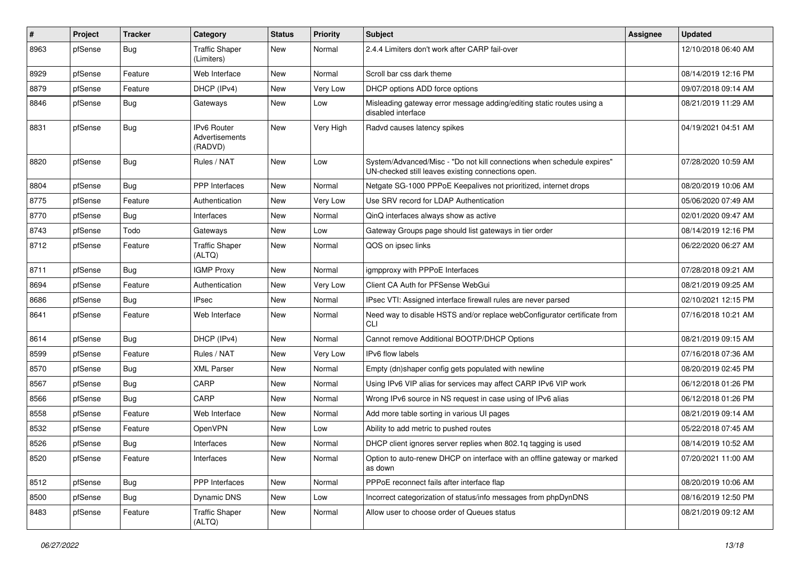| #    | Project | <b>Tracker</b> | Category                                        | <b>Status</b> | <b>Priority</b> | Subject                                                                                                                      | Assignee | <b>Updated</b>      |
|------|---------|----------------|-------------------------------------------------|---------------|-----------------|------------------------------------------------------------------------------------------------------------------------------|----------|---------------------|
| 8963 | pfSense | <b>Bug</b>     | <b>Traffic Shaper</b><br>(Limiters)             | New           | Normal          | 2.4.4 Limiters don't work after CARP fail-over                                                                               |          | 12/10/2018 06:40 AM |
| 8929 | pfSense | Feature        | Web Interface                                   | New           | Normal          | Scroll bar css dark theme                                                                                                    |          | 08/14/2019 12:16 PM |
| 8879 | pfSense | Feature        | DHCP (IPv4)                                     | New           | Very Low        | DHCP options ADD force options                                                                                               |          | 09/07/2018 09:14 AM |
| 8846 | pfSense | Bug            | Gateways                                        | New           | Low             | Misleading gateway error message adding/editing static routes using a<br>disabled interface                                  |          | 08/21/2019 11:29 AM |
| 8831 | pfSense | Bug            | <b>IPv6 Router</b><br>Advertisements<br>(RADVD) | <b>New</b>    | Very High       | Radvd causes latency spikes                                                                                                  |          | 04/19/2021 04:51 AM |
| 8820 | pfSense | Bug            | Rules / NAT                                     | New           | Low             | System/Advanced/Misc - "Do not kill connections when schedule expires"<br>UN-checked still leaves existing connections open. |          | 07/28/2020 10:59 AM |
| 8804 | pfSense | Bug            | <b>PPP</b> Interfaces                           | New           | Normal          | Netgate SG-1000 PPPoE Keepalives not prioritized, internet drops                                                             |          | 08/20/2019 10:06 AM |
| 8775 | pfSense | Feature        | Authentication                                  | New           | Very Low        | Use SRV record for LDAP Authentication                                                                                       |          | 05/06/2020 07:49 AM |
| 8770 | pfSense | Bug            | Interfaces                                      | New           | Normal          | QinQ interfaces always show as active                                                                                        |          | 02/01/2020 09:47 AM |
| 8743 | pfSense | Todo           | Gateways                                        | New           | Low             | Gateway Groups page should list gateways in tier order                                                                       |          | 08/14/2019 12:16 PM |
| 8712 | pfSense | Feature        | <b>Traffic Shaper</b><br>(ALTQ)                 | New           | Normal          | QOS on ipsec links                                                                                                           |          | 06/22/2020 06:27 AM |
| 8711 | pfSense | Bug            | <b>IGMP Proxy</b>                               | <b>New</b>    | Normal          | igmpproxy with PPPoE Interfaces                                                                                              |          | 07/28/2018 09:21 AM |
| 8694 | pfSense | Feature        | Authentication                                  | New           | Very Low        | Client CA Auth for PFSense WebGui                                                                                            |          | 08/21/2019 09:25 AM |
| 8686 | pfSense | Bug            | <b>IPsec</b>                                    | New           | Normal          | IPsec VTI: Assigned interface firewall rules are never parsed                                                                |          | 02/10/2021 12:15 PM |
| 8641 | pfSense | Feature        | Web Interface                                   | New           | Normal          | Need way to disable HSTS and/or replace webConfigurator certificate from<br><b>CLI</b>                                       |          | 07/16/2018 10:21 AM |
| 8614 | pfSense | <b>Bug</b>     | DHCP (IPv4)                                     | New           | Normal          | Cannot remove Additional BOOTP/DHCP Options                                                                                  |          | 08/21/2019 09:15 AM |
| 8599 | pfSense | Feature        | Rules / NAT                                     | New           | Very Low        | <b>IPv6</b> flow labels                                                                                                      |          | 07/16/2018 07:36 AM |
| 8570 | pfSense | Bug            | <b>XML Parser</b>                               | New           | Normal          | Empty (dn)shaper config gets populated with newline                                                                          |          | 08/20/2019 02:45 PM |
| 8567 | pfSense | Bug            | CARP                                            | New           | Normal          | Using IPv6 VIP alias for services may affect CARP IPv6 VIP work                                                              |          | 06/12/2018 01:26 PM |
| 8566 | pfSense | Bug            | CARP                                            | New           | Normal          | Wrong IPv6 source in NS request in case using of IPv6 alias                                                                  |          | 06/12/2018 01:26 PM |
| 8558 | pfSense | Feature        | Web Interface                                   | New           | Normal          | Add more table sorting in various UI pages                                                                                   |          | 08/21/2019 09:14 AM |
| 8532 | pfSense | Feature        | <b>OpenVPN</b>                                  | New           | Low             | Ability to add metric to pushed routes                                                                                       |          | 05/22/2018 07:45 AM |
| 8526 | pfSense | Bug            | Interfaces                                      | New           | Normal          | DHCP client ignores server replies when 802.1g tagging is used                                                               |          | 08/14/2019 10:52 AM |
| 8520 | pfSense | Feature        | Interfaces                                      | New           | Normal          | Option to auto-renew DHCP on interface with an offline gateway or marked<br>as down                                          |          | 07/20/2021 11:00 AM |
| 8512 | pfSense | <b>Bug</b>     | PPP Interfaces                                  | New           | Normal          | PPPoE reconnect fails after interface flap                                                                                   |          | 08/20/2019 10:06 AM |
| 8500 | pfSense | <b>Bug</b>     | Dynamic DNS                                     | New           | Low             | Incorrect categorization of status/info messages from phpDynDNS                                                              |          | 08/16/2019 12:50 PM |
| 8483 | pfSense | Feature        | <b>Traffic Shaper</b><br>(ALTQ)                 | New           | Normal          | Allow user to choose order of Queues status                                                                                  |          | 08/21/2019 09:12 AM |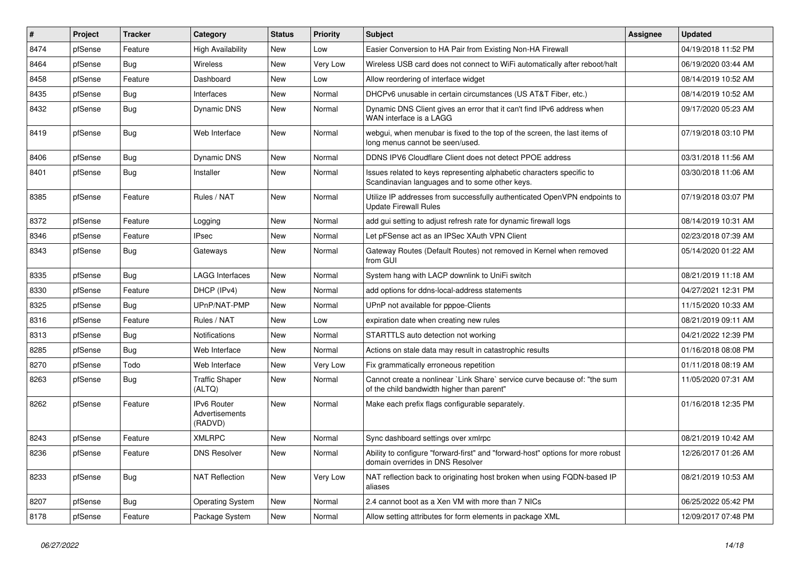| $\sharp$ | Project | <b>Tracker</b> | Category                                 | <b>Status</b> | <b>Priority</b> | Subject                                                                                                                 | <b>Assignee</b> | <b>Updated</b>      |
|----------|---------|----------------|------------------------------------------|---------------|-----------------|-------------------------------------------------------------------------------------------------------------------------|-----------------|---------------------|
| 8474     | pfSense | Feature        | <b>High Availability</b>                 | New           | Low             | Easier Conversion to HA Pair from Existing Non-HA Firewall                                                              |                 | 04/19/2018 11:52 PM |
| 8464     | pfSense | Bug            | <b>Wireless</b>                          | New           | Very Low        | Wireless USB card does not connect to WiFi automatically after reboot/halt                                              |                 | 06/19/2020 03:44 AM |
| 8458     | pfSense | Feature        | Dashboard                                | New           | Low             | Allow reordering of interface widget                                                                                    |                 | 08/14/2019 10:52 AM |
| 8435     | pfSense | <b>Bug</b>     | Interfaces                               | New           | Normal          | DHCPv6 unusable in certain circumstances (US AT&T Fiber, etc.)                                                          |                 | 08/14/2019 10:52 AM |
| 8432     | pfSense | <b>Bug</b>     | Dynamic DNS                              | New           | Normal          | Dynamic DNS Client gives an error that it can't find IPv6 address when<br>WAN interface is a LAGG                       |                 | 09/17/2020 05:23 AM |
| 8419     | pfSense | Bug            | Web Interface                            | New           | Normal          | webgui, when menubar is fixed to the top of the screen, the last items of<br>long menus cannot be seen/used.            |                 | 07/19/2018 03:10 PM |
| 8406     | pfSense | <b>Bug</b>     | Dynamic DNS                              | New           | Normal          | DDNS IPV6 Cloudflare Client does not detect PPOE address                                                                |                 | 03/31/2018 11:56 AM |
| 8401     | pfSense | Bug            | Installer                                | New           | Normal          | Issues related to keys representing alphabetic characters specific to<br>Scandinavian languages and to some other keys. |                 | 03/30/2018 11:06 AM |
| 8385     | pfSense | Feature        | Rules / NAT                              | New           | Normal          | Utilize IP addresses from successfully authenticated OpenVPN endpoints to<br>Update Firewall Rules                      |                 | 07/19/2018 03:07 PM |
| 8372     | pfSense | Feature        | Logging                                  | New           | Normal          | add gui setting to adjust refresh rate for dynamic firewall logs                                                        |                 | 08/14/2019 10:31 AM |
| 8346     | pfSense | Feature        | <b>IPsec</b>                             | New           | Normal          | Let pFSense act as an IPSec XAuth VPN Client                                                                            |                 | 02/23/2018 07:39 AM |
| 8343     | pfSense | Bug            | Gateways                                 | New           | Normal          | Gateway Routes (Default Routes) not removed in Kernel when removed<br>from GUI                                          |                 | 05/14/2020 01:22 AM |
| 8335     | pfSense | Bug            | LAGG Interfaces                          | New           | Normal          | System hang with LACP downlink to UniFi switch                                                                          |                 | 08/21/2019 11:18 AM |
| 8330     | pfSense | Feature        | DHCP (IPv4)                              | <b>New</b>    | Normal          | add options for ddns-local-address statements                                                                           |                 | 04/27/2021 12:31 PM |
| 8325     | pfSense | Bug            | UPnP/NAT-PMP                             | New           | Normal          | UPnP not available for pppoe-Clients                                                                                    |                 | 11/15/2020 10:33 AM |
| 8316     | pfSense | Feature        | Rules / NAT                              | New           | Low             | expiration date when creating new rules                                                                                 |                 | 08/21/2019 09:11 AM |
| 8313     | pfSense | Bug            | Notifications                            | New           | Normal          | STARTTLS auto detection not working                                                                                     |                 | 04/21/2022 12:39 PM |
| 8285     | pfSense | Bug            | Web Interface                            | New           | Normal          | Actions on stale data may result in catastrophic results                                                                |                 | 01/16/2018 08:08 PM |
| 8270     | pfSense | Todo           | Web Interface                            | <b>New</b>    | Very Low        | Fix grammatically erroneous repetition                                                                                  |                 | 01/11/2018 08:19 AM |
| 8263     | pfSense | <b>Bug</b>     | <b>Traffic Shaper</b><br>(ALTQ)          | New           | Normal          | Cannot create a nonlinear `Link Share` service curve because of: "the sum<br>of the child bandwidth higher than parent" |                 | 11/05/2020 07:31 AM |
| 8262     | pfSense | Feature        | IPv6 Router<br>Advertisements<br>(RADVD) | New           | Normal          | Make each prefix flags configurable separately.                                                                         |                 | 01/16/2018 12:35 PM |
| 8243     | pfSense | Feature        | <b>XMLRPC</b>                            | New           | Normal          | Sync dashboard settings over xmlrpc                                                                                     |                 | 08/21/2019 10:42 AM |
| 8236     | pfSense | Feature        | <b>DNS Resolver</b>                      | New           | Normal          | Ability to configure "forward-first" and "forward-host" options for more robust<br>domain overrides in DNS Resolver     |                 | 12/26/2017 01:26 AM |
| 8233     | pfSense | Bug            | <b>NAT Reflection</b>                    | New           | Very Low        | NAT reflection back to originating host broken when using FQDN-based IP<br>aliases                                      |                 | 08/21/2019 10:53 AM |
| 8207     | pfSense | Bug            | <b>Operating System</b>                  | New           | Normal          | 2.4 cannot boot as a Xen VM with more than 7 NICs                                                                       |                 | 06/25/2022 05:42 PM |
| 8178     | pfSense | Feature        | Package System                           | New           | Normal          | Allow setting attributes for form elements in package XML                                                               |                 | 12/09/2017 07:48 PM |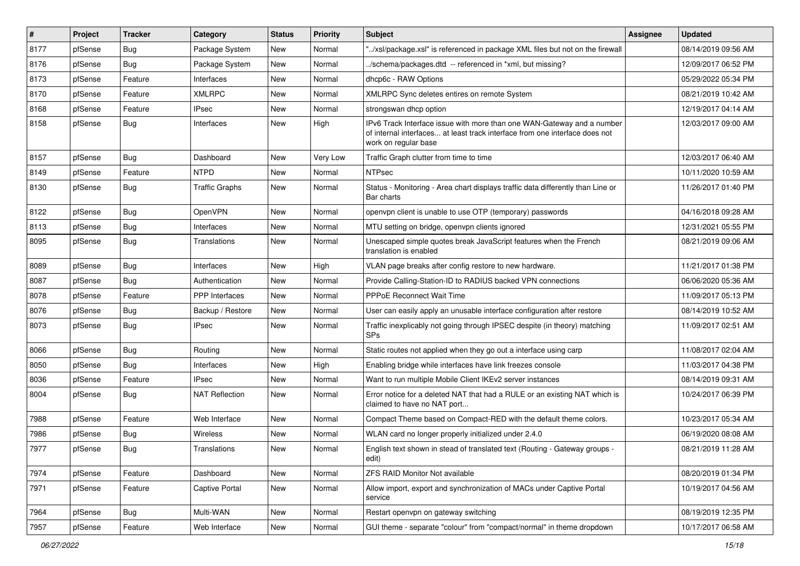| #    | Project | <b>Tracker</b> | Category              | <b>Status</b> | <b>Priority</b> | Subject                                                                                                                                                                       | <b>Assignee</b> | <b>Updated</b>      |
|------|---------|----------------|-----------------------|---------------|-----------------|-------------------------------------------------------------------------------------------------------------------------------------------------------------------------------|-----------------|---------------------|
| 8177 | pfSense | Bug            | Package System        | New           | Normal          | "/xsl/package.xsl" is referenced in package XML files but not on the firewall                                                                                                 |                 | 08/14/2019 09:56 AM |
| 8176 | pfSense | Bug            | Package System        | <b>New</b>    | Normal          | /schema/packages.dtd -- referenced in *xml, but missing?                                                                                                                      |                 | 12/09/2017 06:52 PM |
| 8173 | pfSense | Feature        | Interfaces            | New           | Normal          | dhcp6c - RAW Options                                                                                                                                                          |                 | 05/29/2022 05:34 PM |
| 8170 | pfSense | Feature        | XMLRPC                | New           | Normal          | XMLRPC Sync deletes entires on remote System                                                                                                                                  |                 | 08/21/2019 10:42 AM |
| 8168 | pfSense | Feature        | <b>IPsec</b>          | <b>New</b>    | Normal          | strongswan dhcp option                                                                                                                                                        |                 | 12/19/2017 04:14 AM |
| 8158 | pfSense | Bug            | Interfaces            | New           | High            | IPv6 Track Interface issue with more than one WAN-Gateway and a number<br>of internal interfaces at least track interface from one interface does not<br>work on regular base |                 | 12/03/2017 09:00 AM |
| 8157 | pfSense | Bug            | Dashboard             | New           | Very Low        | Traffic Graph clutter from time to time                                                                                                                                       |                 | 12/03/2017 06:40 AM |
| 8149 | pfSense | Feature        | <b>NTPD</b>           | New           | Normal          | <b>NTPsec</b>                                                                                                                                                                 |                 | 10/11/2020 10:59 AM |
| 8130 | pfSense | Bug            | <b>Traffic Graphs</b> | New           | Normal          | Status - Monitoring - Area chart displays traffic data differently than Line or<br>Bar charts                                                                                 |                 | 11/26/2017 01:40 PM |
| 8122 | pfSense | Bug            | <b>OpenVPN</b>        | <b>New</b>    | Normal          | openvpn client is unable to use OTP (temporary) passwords                                                                                                                     |                 | 04/16/2018 09:28 AM |
| 8113 | pfSense | Bug            | Interfaces            | New           | Normal          | MTU setting on bridge, openvpn clients ignored                                                                                                                                |                 | 12/31/2021 05:55 PM |
| 8095 | pfSense | <b>Bug</b>     | Translations          | New           | Normal          | Unescaped simple quotes break JavaScript features when the French<br>translation is enabled                                                                                   |                 | 08/21/2019 09:06 AM |
| 8089 | pfSense | Bug            | Interfaces            | New           | High            | VLAN page breaks after config restore to new hardware.                                                                                                                        |                 | 11/21/2017 01:38 PM |
| 8087 | pfSense | Bug            | Authentication        | New           | Normal          | Provide Calling-Station-ID to RADIUS backed VPN connections                                                                                                                   |                 | 06/06/2020 05:36 AM |
| 8078 | pfSense | Feature        | PPP Interfaces        | <b>New</b>    | Normal          | <b>PPPoE Reconnect Wait Time</b>                                                                                                                                              |                 | 11/09/2017 05:13 PM |
| 8076 | pfSense | Bug            | Backup / Restore      | New           | Normal          | User can easily apply an unusable interface configuration after restore                                                                                                       |                 | 08/14/2019 10:52 AM |
| 8073 | pfSense | <b>Bug</b>     | <b>IPsec</b>          | New           | Normal          | Traffic inexplicably not going through IPSEC despite (in theory) matching<br><b>SPs</b>                                                                                       |                 | 11/09/2017 02:51 AM |
| 8066 | pfSense | Bug            | Routing               | New           | Normal          | Static routes not applied when they go out a interface using carp                                                                                                             |                 | 11/08/2017 02:04 AM |
| 8050 | pfSense | Bug            | Interfaces            | <b>New</b>    | High            | Enabling bridge while interfaces have link freezes console                                                                                                                    |                 | 11/03/2017 04:38 PM |
| 8036 | pfSense | Feature        | <b>IPsec</b>          | New           | Normal          | Want to run multiple Mobile Client IKEv2 server instances                                                                                                                     |                 | 08/14/2019 09:31 AM |
| 8004 | pfSense | Bug            | <b>NAT Reflection</b> | New           | Normal          | Error notice for a deleted NAT that had a RULE or an existing NAT which is<br>claimed to have no NAT port                                                                     |                 | 10/24/2017 06:39 PM |
| 7988 | pfSense | Feature        | Web Interface         | New           | Normal          | Compact Theme based on Compact-RED with the default theme colors.                                                                                                             |                 | 10/23/2017 05:34 AM |
| 7986 | pfSense | <b>Bug</b>     | Wireless              | New           | Normal          | WLAN card no longer properly initialized under 2.4.0                                                                                                                          |                 | 06/19/2020 08:08 AM |
| 7977 | pfSense | Bug            | Translations          | New           | Normal          | English text shown in stead of translated text (Routing - Gateway groups -<br>edit)                                                                                           |                 | 08/21/2019 11:28 AM |
| 7974 | pfSense | Feature        | Dashboard             | New           | Normal          | ZFS RAID Monitor Not available                                                                                                                                                |                 | 08/20/2019 01:34 PM |
| 7971 | pfSense | Feature        | Captive Portal        | New           | Normal          | Allow import, export and synchronization of MACs under Captive Portal<br>service                                                                                              |                 | 10/19/2017 04:56 AM |
| 7964 | pfSense | Bug            | Multi-WAN             | New           | Normal          | Restart openvpn on gateway switching                                                                                                                                          |                 | 08/19/2019 12:35 PM |
| 7957 | pfSense | Feature        | Web Interface         | New           | Normal          | GUI theme - separate "colour" from "compact/normal" in theme dropdown                                                                                                         |                 | 10/17/2017 06:58 AM |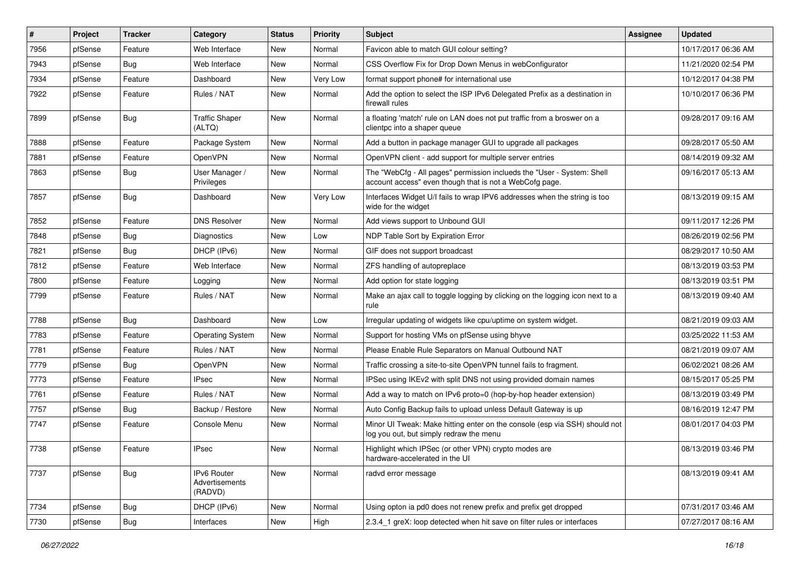| #    | Project | <b>Tracker</b> | Category                                 | <b>Status</b> | <b>Priority</b> | <b>Subject</b>                                                                                                                    | Assignee | <b>Updated</b>      |
|------|---------|----------------|------------------------------------------|---------------|-----------------|-----------------------------------------------------------------------------------------------------------------------------------|----------|---------------------|
| 7956 | pfSense | Feature        | Web Interface                            | New           | Normal          | Favicon able to match GUI colour setting?                                                                                         |          | 10/17/2017 06:36 AM |
| 7943 | pfSense | Bug            | Web Interface                            | <b>New</b>    | Normal          | CSS Overflow Fix for Drop Down Menus in webConfigurator                                                                           |          | 11/21/2020 02:54 PM |
| 7934 | pfSense | Feature        | Dashboard                                | New           | <b>Very Low</b> | format support phone# for international use                                                                                       |          | 10/12/2017 04:38 PM |
| 7922 | pfSense | Feature        | Rules / NAT                              | New           | Normal          | Add the option to select the ISP IPv6 Delegated Prefix as a destination in<br>firewall rules                                      |          | 10/10/2017 06:36 PM |
| 7899 | pfSense | Bug            | <b>Traffic Shaper</b><br>(ALTQ)          | New           | Normal          | a floating 'match' rule on LAN does not put traffic from a broswer on a<br>clientpc into a shaper queue                           |          | 09/28/2017 09:16 AM |
| 7888 | pfSense | Feature        | Package System                           | <b>New</b>    | Normal          | Add a button in package manager GUI to upgrade all packages                                                                       |          | 09/28/2017 05:50 AM |
| 7881 | pfSense | Feature        | <b>OpenVPN</b>                           | New           | Normal          | OpenVPN client - add support for multiple server entries                                                                          |          | 08/14/2019 09:32 AM |
| 7863 | pfSense | Bug            | User Manager /<br>Privileges             | New           | Normal          | The "WebCfg - All pages" permission inclueds the "User - System: Shell<br>account access" even though that is not a WebCofg page. |          | 09/16/2017 05:13 AM |
| 7857 | pfSense | <b>Bug</b>     | Dashboard                                | New           | <b>Very Low</b> | Interfaces Widget U/I fails to wrap IPV6 addresses when the string is too<br>wide for the widget                                  |          | 08/13/2019 09:15 AM |
| 7852 | pfSense | Feature        | <b>DNS Resolver</b>                      | New           | Normal          | Add views support to Unbound GUI                                                                                                  |          | 09/11/2017 12:26 PM |
| 7848 | pfSense | <b>Bug</b>     | Diagnostics                              | New           | Low             | NDP Table Sort by Expiration Error                                                                                                |          | 08/26/2019 02:56 PM |
| 7821 | pfSense | <b>Bug</b>     | DHCP (IPv6)                              | <b>New</b>    | Normal          | GIF does not support broadcast                                                                                                    |          | 08/29/2017 10:50 AM |
| 7812 | pfSense | Feature        | Web Interface                            | New           | Normal          | ZFS handling of autopreplace                                                                                                      |          | 08/13/2019 03:53 PM |
| 7800 | pfSense | Feature        | Logging                                  | New           | Normal          | Add option for state logging                                                                                                      |          | 08/13/2019 03:51 PM |
| 7799 | pfSense | Feature        | Rules / NAT                              | New           | Normal          | Make an ajax call to toggle logging by clicking on the logging icon next to a<br>rule                                             |          | 08/13/2019 09:40 AM |
| 7788 | pfSense | Bug            | Dashboard                                | New           | Low             | Irregular updating of widgets like cpu/uptime on system widget.                                                                   |          | 08/21/2019 09:03 AM |
| 7783 | pfSense | Feature        | <b>Operating System</b>                  | New           | Normal          | Support for hosting VMs on pfSense using bhyve                                                                                    |          | 03/25/2022 11:53 AM |
| 7781 | pfSense | Feature        | Rules / NAT                              | New           | Normal          | Please Enable Rule Separators on Manual Outbound NAT                                                                              |          | 08/21/2019 09:07 AM |
| 7779 | pfSense | <b>Bug</b>     | OpenVPN                                  | New           | Normal          | Traffic crossing a site-to-site OpenVPN tunnel fails to fragment.                                                                 |          | 06/02/2021 08:26 AM |
| 7773 | pfSense | Feature        | IPsec                                    | New           | Normal          | IPSec using IKEv2 with split DNS not using provided domain names                                                                  |          | 08/15/2017 05:25 PM |
| 7761 | pfSense | Feature        | Rules / NAT                              | New           | Normal          | Add a way to match on IPv6 proto=0 (hop-by-hop header extension)                                                                  |          | 08/13/2019 03:49 PM |
| 7757 | pfSense | Bug            | Backup / Restore                         | New           | Normal          | Auto Config Backup fails to upload unless Default Gateway is up                                                                   |          | 08/16/2019 12:47 PM |
| 7747 | pfSense | Feature        | Console Menu                             | New           | Normal          | Minor UI Tweak: Make hitting enter on the console (esp via SSH) should not<br>log you out, but simply redraw the menu             |          | 08/01/2017 04:03 PM |
| 7738 | pfSense | Feature        | <b>IPsec</b>                             | <b>New</b>    | Normal          | Highlight which IPSec (or other VPN) crypto modes are<br>hardware-accelerated in the UI                                           |          | 08/13/2019 03:46 PM |
| 7737 | pfSense | Bug            | IPv6 Router<br>Advertisements<br>(RADVD) | New           | Normal          | radvd error message                                                                                                               |          | 08/13/2019 09:41 AM |
| 7734 | pfSense | Bug            | DHCP (IPv6)                              | New           | Normal          | Using opton ia pd0 does not renew prefix and prefix get dropped                                                                   |          | 07/31/2017 03:46 AM |
| 7730 | pfSense | <b>Bug</b>     | Interfaces                               | New           | High            | 2.3.4_1 greX: loop detected when hit save on filter rules or interfaces                                                           |          | 07/27/2017 08:16 AM |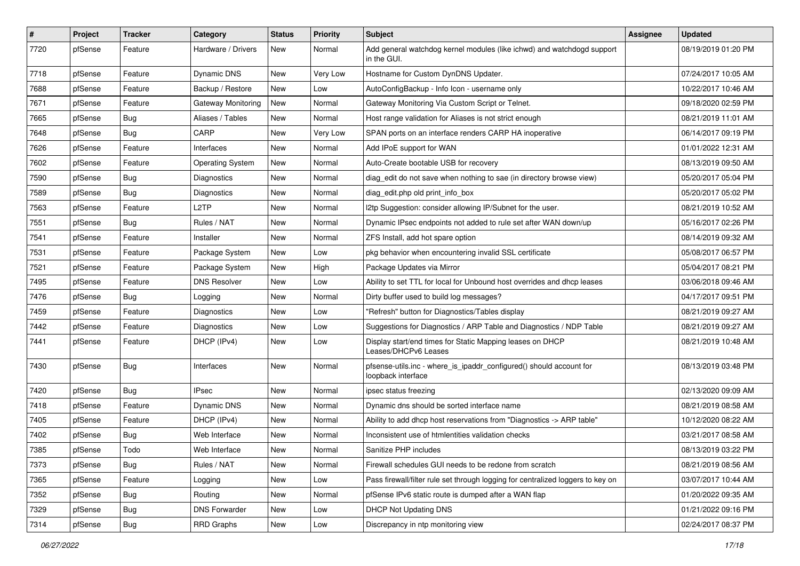| $\vert$ # | Project | <b>Tracker</b> | Category                | <b>Status</b> | <b>Priority</b> | <b>Subject</b>                                                                            | <b>Assignee</b> | <b>Updated</b>      |
|-----------|---------|----------------|-------------------------|---------------|-----------------|-------------------------------------------------------------------------------------------|-----------------|---------------------|
| 7720      | pfSense | Feature        | Hardware / Drivers      | New           | Normal          | Add general watchdog kernel modules (like ichwd) and watchdogd support<br>in the GUI.     |                 | 08/19/2019 01:20 PM |
| 7718      | pfSense | Feature        | Dynamic DNS             | New           | <b>Very Low</b> | Hostname for Custom DynDNS Updater.                                                       |                 | 07/24/2017 10:05 AM |
| 7688      | pfSense | Feature        | Backup / Restore        | New           | Low             | AutoConfigBackup - Info Icon - username only                                              |                 | 10/22/2017 10:46 AM |
| 7671      | pfSense | Feature        | Gateway Monitoring      | New           | Normal          | Gateway Monitoring Via Custom Script or Telnet.                                           |                 | 09/18/2020 02:59 PM |
| 7665      | pfSense | <b>Bug</b>     | Aliases / Tables        | <b>New</b>    | Normal          | Host range validation for Aliases is not strict enough                                    |                 | 08/21/2019 11:01 AM |
| 7648      | pfSense | Bug            | CARP                    | New           | <b>Very Low</b> | SPAN ports on an interface renders CARP HA inoperative                                    |                 | 06/14/2017 09:19 PM |
| 7626      | pfSense | Feature        | Interfaces              | New           | Normal          | Add IPoE support for WAN                                                                  |                 | 01/01/2022 12:31 AM |
| 7602      | pfSense | Feature        | <b>Operating System</b> | New           | Normal          | Auto-Create bootable USB for recovery                                                     |                 | 08/13/2019 09:50 AM |
| 7590      | pfSense | Bug            | Diagnostics             | New           | Normal          | diag_edit do not save when nothing to sae (in directory browse view)                      |                 | 05/20/2017 05:04 PM |
| 7589      | pfSense | Bug            | Diagnostics             | New           | Normal          | diag edit.php old print info box                                                          |                 | 05/20/2017 05:02 PM |
| 7563      | pfSense | Feature        | L2TP                    | New           | Normal          | 12tp Suggestion: consider allowing IP/Subnet for the user.                                |                 | 08/21/2019 10:52 AM |
| 7551      | pfSense | Bug            | Rules / NAT             | <b>New</b>    | Normal          | Dynamic IPsec endpoints not added to rule set after WAN down/up                           |                 | 05/16/2017 02:26 PM |
| 7541      | pfSense | Feature        | Installer               | New           | Normal          | ZFS Install, add hot spare option                                                         |                 | 08/14/2019 09:32 AM |
| 7531      | pfSense | Feature        | Package System          | <b>New</b>    | Low             | pkg behavior when encountering invalid SSL certificate                                    |                 | 05/08/2017 06:57 PM |
| 7521      | pfSense | Feature        | Package System          | New           | High            | Package Updates via Mirror                                                                |                 | 05/04/2017 08:21 PM |
| 7495      | pfSense | Feature        | <b>DNS Resolver</b>     | New           | Low             | Ability to set TTL for local for Unbound host overrides and dhcp leases                   |                 | 03/06/2018 09:46 AM |
| 7476      | pfSense | Bug            | Logging                 | New           | Normal          | Dirty buffer used to build log messages?                                                  |                 | 04/17/2017 09:51 PM |
| 7459      | pfSense | Feature        | Diagnostics             | New           | Low             | "Refresh" button for Diagnostics/Tables display                                           |                 | 08/21/2019 09:27 AM |
| 7442      | pfSense | Feature        | Diagnostics             | New           | Low             | Suggestions for Diagnostics / ARP Table and Diagnostics / NDP Table                       |                 | 08/21/2019 09:27 AM |
| 7441      | pfSense | Feature        | DHCP (IPv4)             | New           | Low             | Display start/end times for Static Mapping leases on DHCP<br>Leases/DHCPv6 Leases         |                 | 08/21/2019 10:48 AM |
| 7430      | pfSense | Bug            | Interfaces              | New           | Normal          | pfsense-utils.inc - where_is_ipaddr_configured() should account for<br>loopback interface |                 | 08/13/2019 03:48 PM |
| 7420      | pfSense | Bug            | <b>IPsec</b>            | <b>New</b>    | Normal          | ipsec status freezing                                                                     |                 | 02/13/2020 09:09 AM |
| 7418      | pfSense | Feature        | Dynamic DNS             | New           | Normal          | Dynamic dns should be sorted interface name                                               |                 | 08/21/2019 08:58 AM |
| 7405      | pfSense | Feature        | DHCP (IPv4)             | New           | Normal          | Ability to add dhcp host reservations from "Diagnostics -> ARP table"                     |                 | 10/12/2020 08:22 AM |
| 7402      | pfSense | <b>Bug</b>     | Web Interface           | New           | Normal          | Inconsistent use of htmlentities validation checks                                        |                 | 03/21/2017 08:58 AM |
| 7385      | pfSense | Todo           | Web Interface           | New           | Normal          | Sanitize PHP includes                                                                     |                 | 08/13/2019 03:22 PM |
| 7373      | pfSense | Bug            | Rules / NAT             | New           | Normal          | Firewall schedules GUI needs to be redone from scratch                                    |                 | 08/21/2019 08:56 AM |
| 7365      | pfSense | Feature        | Logging                 | New           | Low             | Pass firewall/filter rule set through logging for centralized loggers to key on           |                 | 03/07/2017 10:44 AM |
| 7352      | pfSense | <b>Bug</b>     | Routing                 | New           | Normal          | pfSense IPv6 static route is dumped after a WAN flap                                      |                 | 01/20/2022 09:35 AM |
| 7329      | pfSense | <b>Bug</b>     | <b>DNS Forwarder</b>    | New           | Low             | <b>DHCP Not Updating DNS</b>                                                              |                 | 01/21/2022 09:16 PM |
| 7314      | pfSense | <b>Bug</b>     | <b>RRD Graphs</b>       | New           | Low             | Discrepancy in ntp monitoring view                                                        |                 | 02/24/2017 08:37 PM |